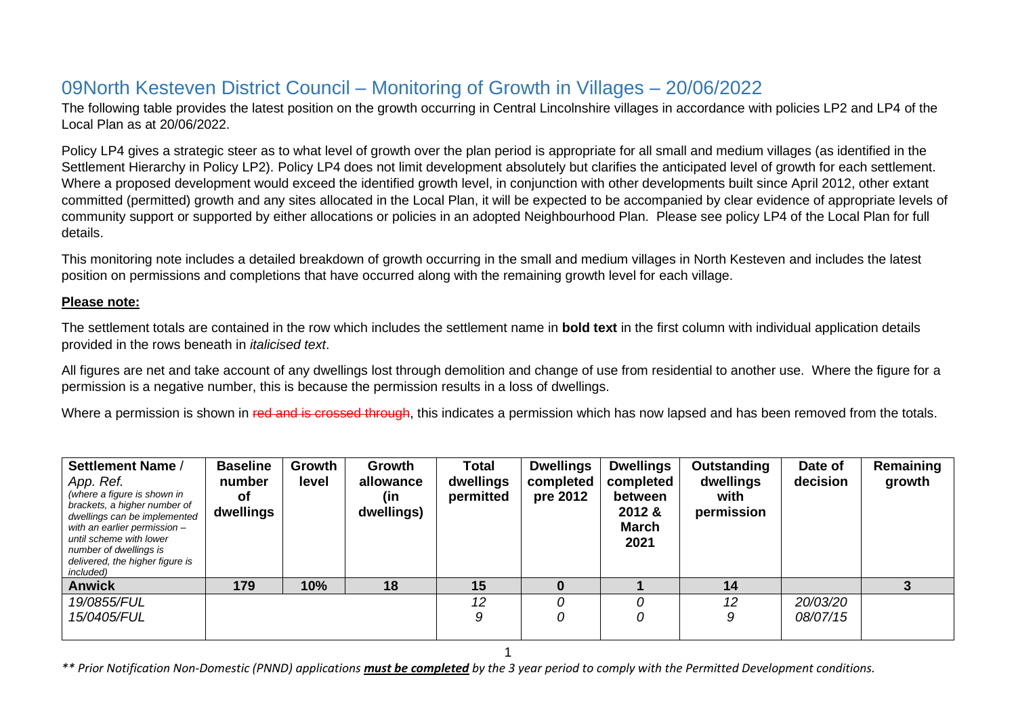## 09North Kesteven District Council – Monitoring of Growth in Villages – 20/06/2022

The following table provides the latest position on the growth occurring in Central Lincolnshire villages in accordance with policies LP2 and LP4 of the Local Plan as at 20/06/2022.

Policy LP4 gives a strategic steer as to what level of growth over the plan period is appropriate for all small and medium villages (as identified in the Settlement Hierarchy in Policy LP2). Policy LP4 does not limit development absolutely but clarifies the anticipated level of growth for each settlement. Where a proposed development would exceed the identified growth level, in conjunction with other developments built since April 2012, other extant committed (permitted) growth and any sites allocated in the Local Plan, it will be expected to be accompanied by clear evidence of appropriate levels of community support or supported by either allocations or policies in an adopted Neighbourhood Plan. Please see policy LP4 of the Local Plan for full details.

This monitoring note includes a detailed breakdown of growth occurring in the small and medium villages in North Kesteven and includes the latest position on permissions and completions that have occurred along with the remaining growth level for each village.

## **Please note:**

The settlement totals are contained in the row which includes the settlement name in **bold text** in the first column with individual application details provided in the rows beneath in *italicised text*.

All figures are net and take account of any dwellings lost through demolition and change of use from residential to another use. Where the figure for a permission is a negative number, this is because the permission results in a loss of dwellings.

Where a permission is shown in red and is crossed through, this indicates a permission which has now lapsed and has been removed from the totals.

| Settlement Name /<br>App. Ref.<br>(where a figure is shown in<br>brackets, a higher number of<br>dwellings can be implemented<br>with an earlier permission -<br>until scheme with lower<br>number of dwellings is<br>delivered, the higher figure is<br>included) | <b>Baseline</b><br>number<br>Οf<br>dwellings | Growth<br>level | Growth<br>allowance<br>(in<br>dwellings) | <b>Total</b><br>dwellings<br>permitted | <b>Dwellings</b><br>completed<br>pre 2012 | <b>Dwellings</b><br>completed<br>between<br>2012 &<br><b>March</b><br>2021 | Outstanding<br>dwellings<br>with<br>permission | Date of<br>decision  | Remaining<br>growth |
|--------------------------------------------------------------------------------------------------------------------------------------------------------------------------------------------------------------------------------------------------------------------|----------------------------------------------|-----------------|------------------------------------------|----------------------------------------|-------------------------------------------|----------------------------------------------------------------------------|------------------------------------------------|----------------------|---------------------|
| <b>Anwick</b>                                                                                                                                                                                                                                                      | 179                                          | 10%             | 18                                       | 15                                     |                                           |                                                                            | 14                                             |                      |                     |
| 19/0855/FUL<br>15/0405/FUL                                                                                                                                                                                                                                         |                                              |                 |                                          | 12<br>9                                | 0                                         | 0                                                                          | 12<br>9                                        | 20/03/20<br>08/07/15 |                     |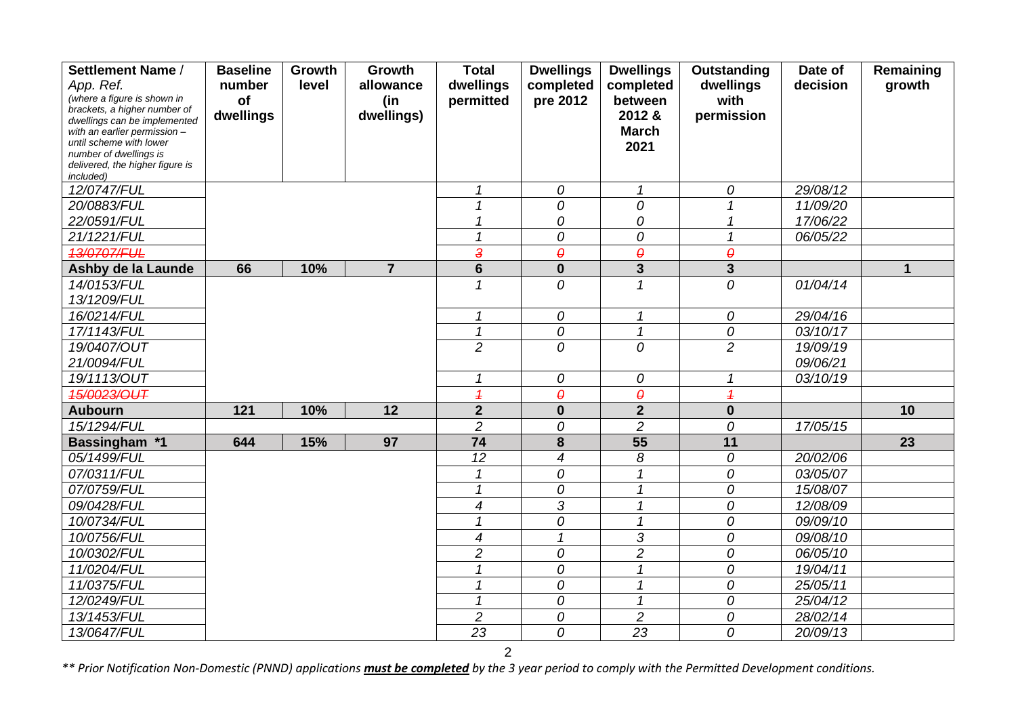| Settlement Name /                                            | <b>Baseline</b>  | Growth | Growth          | <b>Total</b>             | <b>Dwellings</b>      | <b>Dwellings</b>           | Outstanding              | Date of  | Remaining    |
|--------------------------------------------------------------|------------------|--------|-----------------|--------------------------|-----------------------|----------------------------|--------------------------|----------|--------------|
| App. Ref.                                                    | number           | level  | allowance       | dwellings                | completed             | completed                  | dwellings                | decision | growth       |
| (where a figure is shown in                                  | of               |        | (in             | permitted                | pre 2012              | between                    | with                     |          |              |
| brackets, a higher number of<br>dwellings can be implemented | dwellings        |        | dwellings)      |                          |                       | 2012 &                     | permission               |          |              |
| with an earlier permission -                                 |                  |        |                 |                          |                       | <b>March</b>               |                          |          |              |
| until scheme with lower                                      |                  |        |                 |                          |                       | 2021                       |                          |          |              |
| number of dwellings is<br>delivered, the higher figure is    |                  |        |                 |                          |                       |                            |                          |          |              |
| <i>included</i> )                                            |                  |        |                 |                          |                       |                            |                          |          |              |
| 12/0747/FUL                                                  |                  |        |                 | $\mathcal I$             | 0                     | $\mathcal I$               | 0                        | 29/08/12 |              |
| 20/0883/FUL                                                  |                  |        |                 | 1                        | 0                     | 0                          | $\overline{\mathcal{L}}$ | 11/09/20 |              |
| 22/0591/FUL                                                  |                  |        |                 |                          | 0                     | 0                          |                          | 17/06/22 |              |
| 21/1221/FUL                                                  |                  |        |                 | 1                        | 0                     | 0                          | 1                        | 06/05/22 |              |
| <b>13/0707/FUL</b>                                           |                  |        |                 | 3                        | $\boldsymbol{\theta}$ | $\pmb{\theta}$             | $\theta$                 |          |              |
| Ashby de la Launde                                           | 66               | 10%    | $\overline{7}$  | $6\phantom{1}$           | $\mathbf 0$           | $\overline{\mathbf{3}}$    | $\mathbf{3}$             |          | $\mathbf{1}$ |
| 14/0153/FUL                                                  |                  |        |                 | 1                        | 0                     | $\mathcal I$               | 0                        | 01/04/14 |              |
| 13/1209/FUL                                                  |                  |        |                 |                          |                       |                            |                          |          |              |
| 16/0214/FUL                                                  |                  |        |                 | 1                        | 0                     | $\boldsymbol{\mathcal{L}}$ | 0                        | 29/04/16 |              |
| 17/1143/FUL                                                  |                  |        |                 | $\mathbf{1}$             | 0                     | $\mathcal I$               | 0                        | 03/10/17 |              |
| 19/0407/OUT                                                  |                  |        |                 | $\overline{2}$           | 0                     | $\mathcal{O}$              | $\overline{c}$           | 19/09/19 |              |
| 21/0094/FUL                                                  |                  |        |                 |                          |                       |                            |                          | 09/06/21 |              |
| 19/1113/OUT                                                  |                  |        |                 | 1                        | 0                     | 0                          | 1                        | 03/10/19 |              |
| 15/0023/OUT                                                  |                  |        |                 | $\overline{\mathcal{L}}$ | $\theta$              | $\boldsymbol{\theta}$      | $\overline{\mathcal{L}}$ |          |              |
| <b>Aubourn</b>                                               | $\overline{121}$ | 10%    | $\overline{12}$ | $\overline{2}$           | $\mathbf 0$           | $\overline{2}$             | $\mathbf 0$              |          | 10           |
| 15/1294/FUL                                                  |                  |        |                 | $\overline{c}$           | 0                     | $\overline{c}$             | 0                        | 17/05/15 |              |
| Bassingham *1                                                | 644              | 15%    | 97              | 74                       | 8                     | 55                         | 11                       |          | 23           |
| 05/1499/FUL                                                  |                  |        |                 | 12                       | 4                     | 8                          | 0                        | 20/02/06 |              |
| 07/0311/FUL                                                  |                  |        |                 | 1                        | 0                     | $\overline{1}$             | 0                        | 03/05/07 |              |
| 07/0759/FUL                                                  |                  |        |                 | $\mathcal I$             | 0                     | $\mathcal I$               | 0                        | 15/08/07 |              |
| 09/0428/FUL                                                  |                  |        |                 | $\overline{4}$           | 3                     | $\boldsymbol{\mathcal{L}}$ | 0                        | 12/08/09 |              |
| 10/0734/FUL                                                  |                  |        |                 | 1                        | 0                     | $\mathcal I$               | 0                        | 09/09/10 |              |
| 10/0756/FUL                                                  |                  |        |                 | $\overline{4}$           |                       | 3                          | 0                        | 09/08/10 |              |
| 10/0302/FUL                                                  |                  |        |                 | $\overline{2}$           | 0                     | $\overline{c}$             | 0                        | 06/05/10 |              |
| 11/0204/FUL                                                  |                  |        |                 | 1                        | 0                     | $\boldsymbol{\mathcal{L}}$ | 0                        | 19/04/11 |              |
| 11/0375/FUL                                                  |                  |        |                 | 1                        | 0                     | $\mathcal I$               | 0                        | 25/05/11 |              |
| 12/0249/FUL                                                  |                  |        |                 | 1                        | 0                     | $\boldsymbol{\mathcal{L}}$ | 0                        | 25/04/12 |              |
| 13/1453/FUL                                                  |                  |        |                 | $\overline{c}$           | 0                     | $\overline{c}$             | 0                        | 28/02/14 |              |
| 13/0647/FUL                                                  |                  |        |                 | 23                       | 0                     | 23                         | 0                        | 20/09/13 |              |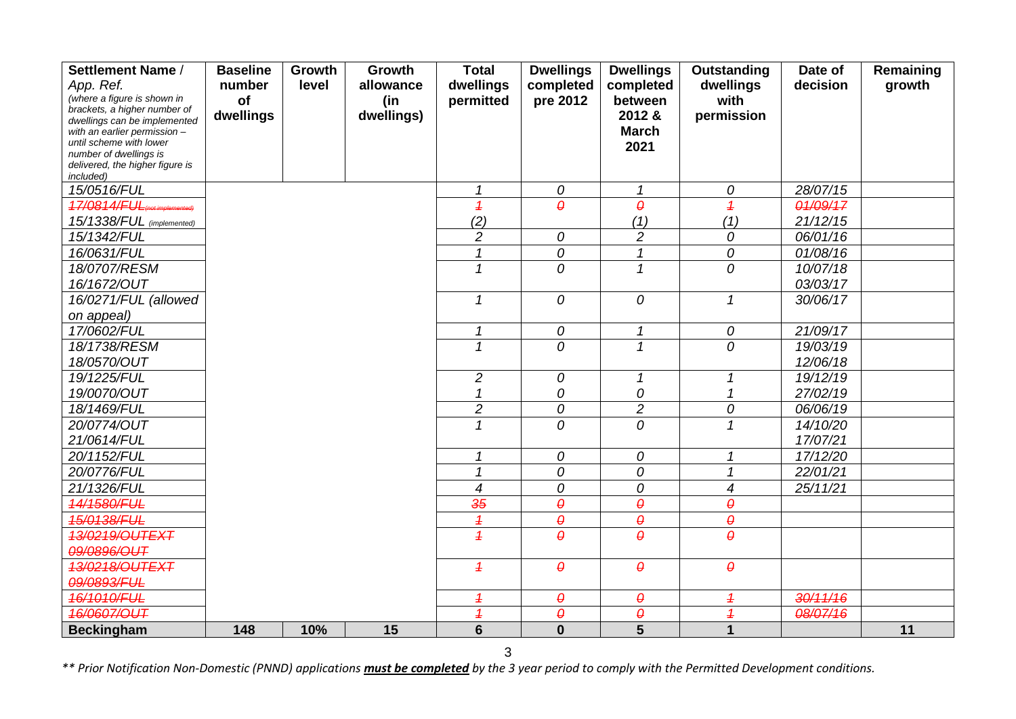| Settlement Name /                                            | <b>Baseline</b> | Growth | Growth     | <b>Total</b>             | <b>Dwellings</b>      | <b>Dwellings</b>           | Outstanding              | Date of  | Remaining |
|--------------------------------------------------------------|-----------------|--------|------------|--------------------------|-----------------------|----------------------------|--------------------------|----------|-----------|
| App. Ref.                                                    | number          | level  | allowance  | dwellings                | completed             | completed                  | dwellings                | decision | growth    |
| (where a figure is shown in                                  | of              |        | (in        | permitted                | pre 2012              | between                    | with                     |          |           |
| brackets, a higher number of<br>dwellings can be implemented | dwellings       |        | dwellings) |                          |                       | 2012 &                     | permission               |          |           |
| with an earlier permission -                                 |                 |        |            |                          |                       | <b>March</b>               |                          |          |           |
| until scheme with lower                                      |                 |        |            |                          |                       | 2021                       |                          |          |           |
| number of dwellings is                                       |                 |        |            |                          |                       |                            |                          |          |           |
| delivered, the higher figure is<br>included)                 |                 |        |            |                          |                       |                            |                          |          |           |
| 15/0516/FUL                                                  |                 |        |            | $\mathcal I$             | 0                     | $\boldsymbol{\mathcal{L}}$ | 0                        | 28/07/15 |           |
| 17/0814/FUL                                                  |                 |        |            | $\overline{1}$           | $\theta$              | $\theta$                   | $\overline{1}$           | 01/09/17 |           |
| 15/1338/FUL (implemented)                                    |                 |        |            | (2)                      |                       | (1)                        | (1)                      | 21/12/15 |           |
| 15/1342/FUL                                                  |                 |        |            | $\overline{c}$           | 0                     | $\overline{c}$             | 0                        | 06/01/16 |           |
| 16/0631/FUL                                                  |                 |        |            | 1                        | 0                     | $\mathcal I$               | 0                        | 01/08/16 |           |
| 18/0707/RESM                                                 |                 |        |            | 1                        | 0                     | $\mathcal I$               | 0                        | 10/07/18 |           |
| 16/1672/OUT                                                  |                 |        |            |                          |                       |                            |                          | 03/03/17 |           |
| 16/0271/FUL (allowed                                         |                 |        |            | $\mathcal I$             | 0                     | 0                          | $\mathbf{1}$             | 30/06/17 |           |
| on appeal)                                                   |                 |        |            |                          |                       |                            |                          |          |           |
| 17/0602/FUL                                                  |                 |        |            | $\mathcal I$             | 0                     | $\mathbf{1}$               | 0                        | 21/09/17 |           |
| 18/1738/RESM                                                 |                 |        |            | $\mathbf{1}$             | 0                     | $\mathcal I$               | 0                        | 19/03/19 |           |
| 18/0570/OUT                                                  |                 |        |            |                          |                       |                            |                          | 12/06/18 |           |
| 19/1225/FUL                                                  |                 |        |            | $\overline{c}$           | 0                     | $\mathbf 1$                | $\mathcal I$             | 19/12/19 |           |
| 19/0070/OUT                                                  |                 |        |            | 1                        | 0                     | 0                          | 1                        | 27/02/19 |           |
| 18/1469/FUL                                                  |                 |        |            | $\overline{c}$           | 0                     | $\overline{c}$             | 0                        | 06/06/19 |           |
| 20/0774/OUT                                                  |                 |        |            | $\mathbf{1}$             | 0                     | $\overline{0}$             | $\mathbf{1}$             | 14/10/20 |           |
| 21/0614/FUL                                                  |                 |        |            |                          |                       |                            |                          | 17/07/21 |           |
| 20/1152/FUL                                                  |                 |        |            | $\mathbf 1$              | 0                     | 0                          | $\mathbf{1}$             | 17/12/20 |           |
| 20/0776/FUL                                                  |                 |        |            | $\mathbf{1}$             | 0                     | 0                          | $\mathbf{1}$             | 22/01/21 |           |
| 21/1326/FUL                                                  |                 |        |            | 4                        | 0                     | 0                          | $\overline{\mathcal{A}}$ | 25/11/21 |           |
| 14/1580/FUL                                                  |                 |        |            | 35                       | $\boldsymbol{\theta}$ | $\theta$                   | $\pmb{\theta}$           |          |           |
| 15/0138/FUL                                                  |                 |        |            | $\overline{1}$           | $\boldsymbol{\theta}$ | $\boldsymbol{\theta}$      | $\pmb{\theta}$           |          |           |
| 13/0219/OUTEXT                                               |                 |        |            | $\overline{1}$           | $\theta$              | $\theta$                   | $\theta$                 |          |           |
| 09/0896/OUT                                                  |                 |        |            |                          |                       |                            |                          |          |           |
| 13/0218/OUTEXT                                               |                 |        |            | $\overline{1}$           | $\theta$              | $\theta$                   | $\pmb{\theta}$           |          |           |
| 09/0893/FUL                                                  |                 |        |            |                          |                       |                            |                          |          |           |
| 16/1010/FUL                                                  |                 |        |            | $\overline{1}$           | $\boldsymbol{\theta}$ | $\pmb{\theta}$             | $\overline{1}$           | 30/11/16 |           |
| 46/0607/OUT                                                  |                 |        |            | $\overline{\mathcal{L}}$ | $\boldsymbol{\theta}$ | $\pmb{\theta}$             | $\overline{\mathcal{L}}$ | 08/07/16 |           |
| <b>Beckingham</b>                                            | 148             | 10%    | 15         | $6\phantom{1}6$          | $\mathbf 0$           | $\overline{\mathbf{5}}$    | 1                        |          | 11        |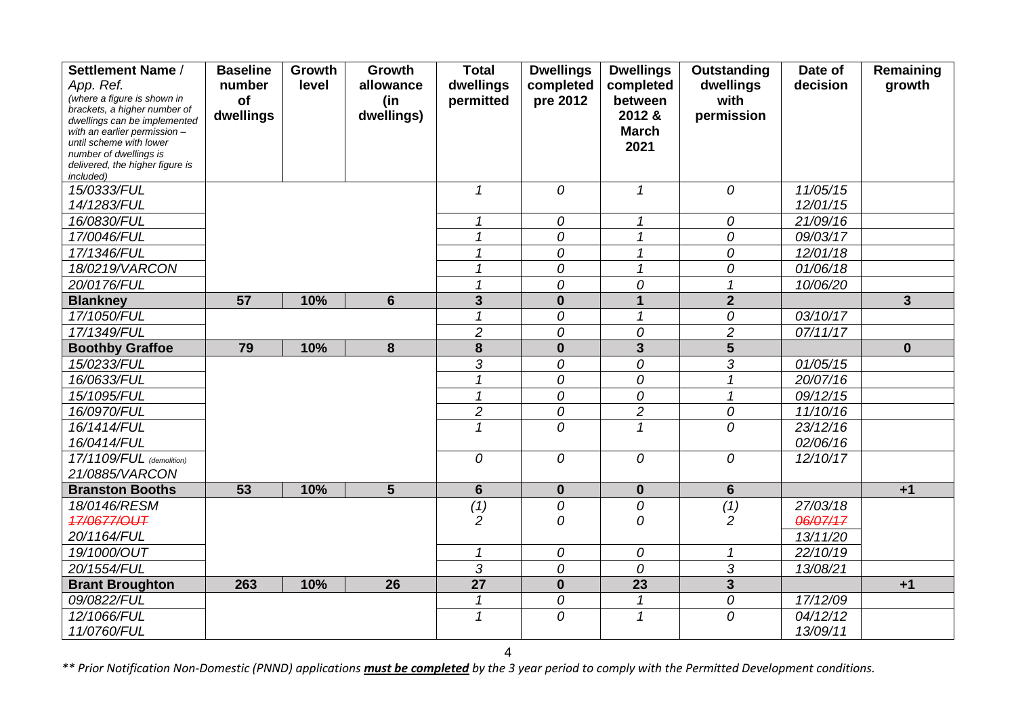| Settlement Name /                                            | <b>Baseline</b> | Growth | Growth          | <b>Total</b>    | <b>Dwellings</b> | <b>Dwellings</b>           | Outstanding              | Date of  | Remaining      |
|--------------------------------------------------------------|-----------------|--------|-----------------|-----------------|------------------|----------------------------|--------------------------|----------|----------------|
| App. Ref.                                                    | number          | level  | allowance       | dwellings       | completed        | completed                  | dwellings                | decision | growth         |
| (where a figure is shown in                                  | of              |        | (in             | permitted       | pre 2012         | between                    | with                     |          |                |
| brackets, a higher number of<br>dwellings can be implemented | dwellings       |        | dwellings)      |                 |                  | 2012 &                     | permission               |          |                |
| with an earlier permission -                                 |                 |        |                 |                 |                  | <b>March</b>               |                          |          |                |
| until scheme with lower                                      |                 |        |                 |                 |                  | 2021                       |                          |          |                |
| number of dwellings is<br>delivered, the higher figure is    |                 |        |                 |                 |                  |                            |                          |          |                |
| included)                                                    |                 |        |                 |                 |                  |                            |                          |          |                |
| 15/0333/FUL                                                  |                 |        |                 | $\mathcal I$    | $\overline{O}$   | $\mathcal I$               | 0                        | 11/05/15 |                |
| 14/1283/FUL                                                  |                 |        |                 |                 |                  |                            |                          | 12/01/15 |                |
| 16/0830/FUL                                                  |                 |        |                 | 1               | 0                | $\mathcal I$               | 0                        | 21/09/16 |                |
| 17/0046/FUL                                                  |                 |        |                 | 1               | 0                | $\mathcal I$               | 0                        | 09/03/17 |                |
| 17/1346/FUL                                                  |                 |        |                 | 1               | 0                | $\overline{1}$             | 0                        | 12/01/18 |                |
| 18/0219/VARCON                                               |                 |        |                 |                 | 0                | $\mathcal I$               | 0                        | 01/06/18 |                |
| 20/0176/FUL                                                  |                 |        |                 |                 | 0                | 0                          | $\overline{\mathcal{L}}$ | 10/06/20 |                |
| <b>Blankney</b>                                              | 57              | 10%    | $6\phantom{1}6$ | $\overline{3}$  | $\mathbf 0$      | $\mathbf{1}$               | $\overline{2}$           |          | $\overline{3}$ |
| 17/1050/FUL                                                  |                 |        |                 | 1               | 0                | $\mathcal I$               | 0                        | 03/10/17 |                |
| 17/1349/FUL                                                  |                 |        |                 | $\overline{2}$  | 0                | 0                          | $\overline{c}$           | 07/11/17 |                |
| <b>Boothby Graffoe</b>                                       | 79              | 10%    | 8               | 8               | $\mathbf{0}$     | $\overline{\mathbf{3}}$    | $5\overline{)}$          |          | $\mathbf{0}$   |
| 15/0233/FUL                                                  |                 |        |                 | 3               | 0                | 0                          | 3                        | 01/05/15 |                |
| 16/0633/FUL                                                  |                 |        |                 | $\mathbf{1}$    | 0                | 0                          | $\mathbf{1}$             | 20/07/16 |                |
| 15/1095/FUL                                                  |                 |        |                 | $\mathbf{1}$    | 0                | 0                          |                          | 09/12/15 |                |
| 16/0970/FUL                                                  |                 |        |                 | $\overline{c}$  | 0                | $\overline{2}$             | 0                        | 11/10/16 |                |
| 16/1414/FUL                                                  |                 |        |                 | $\mathbf 1$     | $\overline{O}$   | $\mathcal I$               | 0                        | 23/12/16 |                |
| 16/0414/FUL                                                  |                 |        |                 |                 |                  |                            |                          | 02/06/16 |                |
| 17/1109/FUL (demolition)                                     |                 |        |                 | 0               | 0                | 0                          | 0                        | 12/10/17 |                |
| 21/0885/VARCON                                               |                 |        |                 |                 |                  |                            |                          |          |                |
| <b>Branston Booths</b>                                       | 53              | 10%    | $5\phantom{1}$  | $6\phantom{1}$  | $\bf{0}$         | $\mathbf 0$                | $6\phantom{1}$           |          | $+1$           |
| 18/0146/RESM                                                 |                 |        |                 | (1)             | 0                | 0                          | (1)                      | 27/03/18 |                |
| <b>17/0677/OUT</b>                                           |                 |        |                 | $\overline{c}$  | 0                | 0                          | $\overline{2}$           | 06/07/17 |                |
| 20/1164/FUL                                                  |                 |        |                 |                 |                  |                            |                          | 13/11/20 |                |
| 19/1000/OUT                                                  |                 |        |                 | 1               | 0                | 0                          | 1                        | 22/10/19 |                |
| 20/1554/FUL                                                  |                 |        |                 | 3               | 0                | 0                          | 3                        | 13/08/21 |                |
| <b>Brant Broughton</b>                                       | 263             | 10%    | 26              | $\overline{27}$ | $\mathbf 0$      | 23                         | $\mathbf{3}$             |          | $+1$           |
| 09/0822/FUL                                                  |                 |        |                 | 1               | 0                | $\boldsymbol{\mathcal{L}}$ | 0                        | 17/12/09 |                |
| 12/1066/FUL                                                  |                 |        |                 | 1               | 0                | $\mathcal I$               | 0                        | 04/12/12 |                |
| 11/0760/FUL                                                  |                 |        |                 |                 |                  |                            |                          | 13/09/11 |                |

4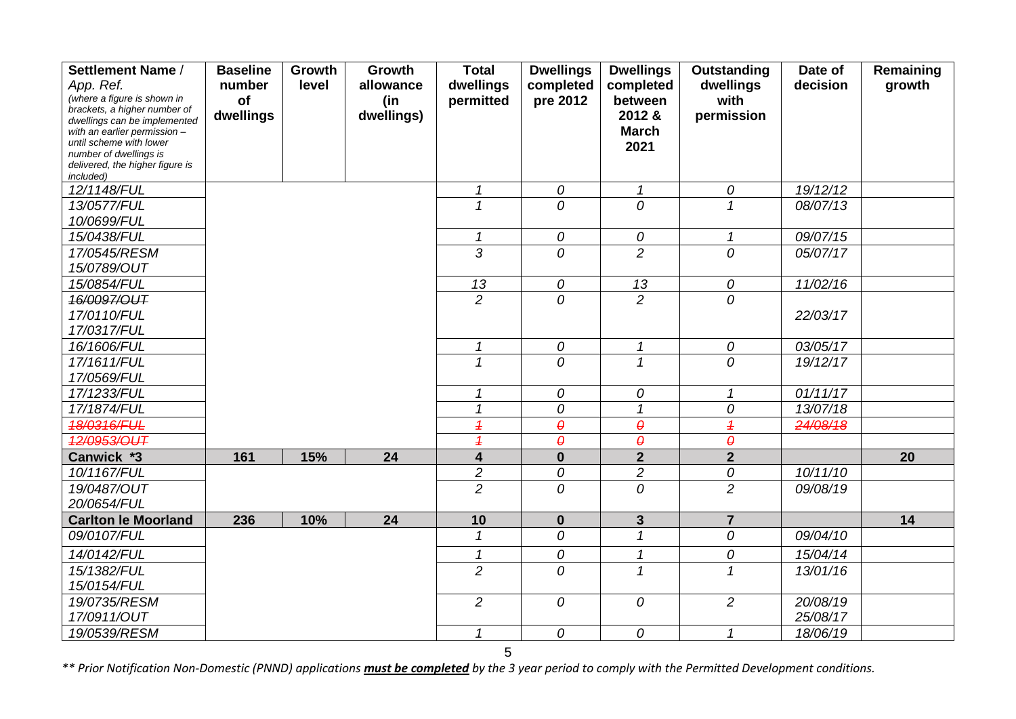| Settlement Name /                                            | <b>Baseline</b> | Growth | Growth     | <b>Total</b>             | <b>Dwellings</b>      | <b>Dwellings</b> | Outstanding              | Date of  | Remaining |
|--------------------------------------------------------------|-----------------|--------|------------|--------------------------|-----------------------|------------------|--------------------------|----------|-----------|
| App. Ref.                                                    | number          | level  | allowance  | dwellings                | completed             | completed        | dwellings                | decision | growth    |
| (where a figure is shown in                                  | of              |        | (in        | permitted                | pre 2012              | between          | with                     |          |           |
| brackets, a higher number of<br>dwellings can be implemented | dwellings       |        | dwellings) |                          |                       | 2012 &           | permission               |          |           |
| with an earlier permission -                                 |                 |        |            |                          |                       | <b>March</b>     |                          |          |           |
| until scheme with lower                                      |                 |        |            |                          |                       | 2021             |                          |          |           |
| number of dwellings is<br>delivered, the higher figure is    |                 |        |            |                          |                       |                  |                          |          |           |
| included)                                                    |                 |        |            |                          |                       |                  |                          |          |           |
| 12/1148/FUL                                                  |                 |        |            | $\mathbf{1}$             | ${\cal O}$            | $\mathcal I$     | $\mathcal O$             | 19/12/12 |           |
| 13/0577/FUL                                                  |                 |        |            | $\mathcal I$             | 0                     | $\overline{O}$   | $\mathbf{1}$             | 08/07/13 |           |
| 10/0699/FUL                                                  |                 |        |            |                          |                       |                  |                          |          |           |
| 15/0438/FUL                                                  |                 |        |            | $\mathcal I$             | 0                     | 0                | $\mathbf{1}$             | 09/07/15 |           |
| 17/0545/RESM                                                 |                 |        |            | $\overline{3}$           | 0                     | $\overline{2}$   | $\overline{O}$           | 05/07/17 |           |
| 15/0789/OUT                                                  |                 |        |            |                          |                       |                  |                          |          |           |
| 15/0854/FUL                                                  |                 |        |            | 13                       | 0                     | 13               | ${\cal O}$               | 11/02/16 |           |
| 16/0097/OUT                                                  |                 |        |            | $\overline{2}$           | 0                     | $\overline{2}$   | 0                        |          |           |
| 17/0110/FUL                                                  |                 |        |            |                          |                       |                  |                          | 22/03/17 |           |
| 17/0317/FUL                                                  |                 |        |            |                          |                       |                  |                          |          |           |
| 16/1606/FUL                                                  |                 |        |            | $\mathcal I$<br>1        | 0                     | $\mathcal I$     | 0                        | 03/05/17 |           |
| 17/1611/FUL<br>17/0569/FUL                                   |                 |        |            |                          | 0                     | $\mathcal I$     | $\overline{O}$           | 19/12/17 |           |
| 17/1233/FUL                                                  |                 |        |            | 1                        | 0                     | 0                | $\mathbf{1}$             | 01/11/17 |           |
| 17/1874/FUL                                                  |                 |        |            | $\overline{\mathcal{L}}$ | 0                     | $\mathbf{1}$     | 0                        | 13/07/18 |           |
| 18/0316/FUL                                                  |                 |        |            | $\overline{\mathcal{L}}$ | $\boldsymbol{\theta}$ | $\pmb{\theta}$   | $\overline{\mathcal{L}}$ | 24/08/18 |           |
| 12/0953/OUT                                                  |                 |        |            | $\overline{\mathcal{L}}$ | $\boldsymbol{\theta}$ | $\theta$         | $\theta$                 |          |           |
| Canwick *3                                                   | 161             | 15%    | 24         | $\overline{\mathbf{4}}$  | $\mathbf 0$           | $\overline{2}$   | $\overline{2}$           |          | 20        |
| 10/1167/FUL                                                  |                 |        |            | $\overline{c}$           | 0                     | $\overline{c}$   | 0                        | 10/11/10 |           |
| 19/0487/OUT                                                  |                 |        |            | $\overline{2}$           | 0                     | $\overline{O}$   | $\overline{2}$           | 09/08/19 |           |
| 20/0654/FUL                                                  |                 |        |            |                          |                       |                  |                          |          |           |
| <b>Carlton le Moorland</b>                                   | 236             | 10%    | 24         | 10                       | $\mathbf{0}$          | $\overline{3}$   | $\overline{7}$           |          | 14        |
| 09/0107/FUL                                                  |                 |        |            | $\mathbf 1$              | 0                     | $\mathcal I$     | 0                        | 09/04/10 |           |
| 14/0142/FUL                                                  |                 |        |            | 1                        | 0                     | $\mathbf{1}$     | 0                        | 15/04/14 |           |
| 15/1382/FUL                                                  |                 |        |            | $\overline{2}$           | 0                     | $\mathcal I$     | $\mathcal I$             | 13/01/16 |           |
| 15/0154/FUL                                                  |                 |        |            |                          |                       |                  |                          |          |           |
| 19/0735/RESM                                                 |                 |        |            | $\overline{2}$           | 0                     | 0                | $\overline{2}$           | 20/08/19 |           |
| 17/0911/OUT                                                  |                 |        |            |                          |                       |                  |                          | 25/08/17 |           |
| 19/0539/RESM                                                 |                 |        |            | 1                        | 0                     | 0                | 1                        | 18/06/19 |           |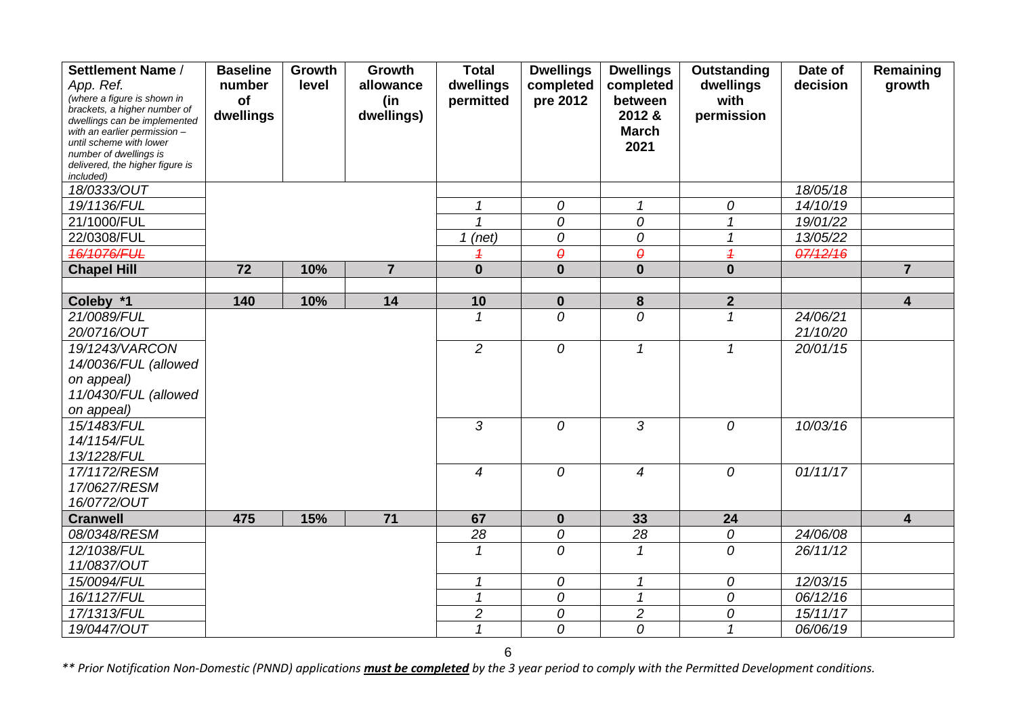| Settlement Name /                                            | <b>Baseline</b> | Growth | Growth          | <b>Total</b>   | <b>Dwellings</b>      | <b>Dwellings</b>           | <b>Outstanding</b> | Date of           | Remaining               |
|--------------------------------------------------------------|-----------------|--------|-----------------|----------------|-----------------------|----------------------------|--------------------|-------------------|-------------------------|
| App. Ref.                                                    | number          | level  | allowance       | dwellings      | completed             | completed                  | dwellings          | decision          | growth                  |
| (where a figure is shown in                                  | of              |        | (in             | permitted      | pre 2012              | between                    | with               |                   |                         |
| brackets, a higher number of<br>dwellings can be implemented | dwellings       |        | dwellings)      |                |                       | 2012 &                     | permission         |                   |                         |
| with an earlier permission -                                 |                 |        |                 |                |                       | <b>March</b>               |                    |                   |                         |
| until scheme with lower                                      |                 |        |                 |                |                       | 2021                       |                    |                   |                         |
| number of dwellings is<br>delivered, the higher figure is    |                 |        |                 |                |                       |                            |                    |                   |                         |
| included)                                                    |                 |        |                 |                |                       |                            |                    |                   |                         |
| 18/0333/OUT                                                  |                 |        |                 |                |                       |                            |                    | 18/05/18          |                         |
| 19/1136/FUL                                                  |                 |        |                 | 1              | 0                     | $\mathcal I$               | 0                  | 14/10/19          |                         |
| 21/1000/FUL                                                  |                 |        |                 |                | 0                     | 0                          | $\mathbf{1}$       | 19/01/22          |                         |
| 22/0308/FUL                                                  |                 |        |                 | $1$ (net)      | 0                     | 0                          | $\mathcal I$       | 13/05/22          |                         |
| 46/1076/FUL                                                  |                 |        |                 | 1              | $\boldsymbol{\theta}$ | $\theta$                   | $\overline{1}$     | 07/12/16          |                         |
| <b>Chapel Hill</b>                                           | 72              | 10%    | $\overline{7}$  | $\bf{0}$       | $\mathbf{0}$          | $\mathbf 0$                | $\mathbf{0}$       |                   | $\overline{7}$          |
|                                                              |                 |        |                 |                |                       |                            |                    |                   |                         |
| Coleby *1                                                    | 140             | 10%    | 14              | 10             | $\mathbf 0$           | 8                          | $\mathbf{2}$       |                   | $\overline{\mathbf{4}}$ |
| 21/0089/FUL                                                  |                 |        |                 | 1              | 0                     | $\overline{O}$             | $\mathbf{1}$       | $\sqrt{24/06/21}$ |                         |
| 20/0716/OUT                                                  |                 |        |                 |                |                       |                            |                    | 21/10/20          |                         |
| 19/1243/VARCON                                               |                 |        |                 | $\overline{c}$ | 0                     | $\mathcal I$               | $\mathcal I$       | 20/01/15          |                         |
| 14/0036/FUL (allowed                                         |                 |        |                 |                |                       |                            |                    |                   |                         |
| on appeal)                                                   |                 |        |                 |                |                       |                            |                    |                   |                         |
| 11/0430/FUL (allowed                                         |                 |        |                 |                |                       |                            |                    |                   |                         |
| on appeal)                                                   |                 |        |                 |                |                       |                            |                    |                   |                         |
| 15/1483/FUL                                                  |                 |        |                 | 3              | 0                     | 3                          | $\overline{O}$     | 10/03/16          |                         |
| 14/1154/FUL                                                  |                 |        |                 |                |                       |                            |                    |                   |                         |
| 13/1228/FUL                                                  |                 |        |                 |                |                       |                            |                    |                   |                         |
| 17/1172/RESM                                                 |                 |        |                 | $\overline{4}$ | $\overline{O}$        | $\overline{4}$             | 0                  | 01/11/17          |                         |
| 17/0627/RESM                                                 |                 |        |                 |                |                       |                            |                    |                   |                         |
| 16/0772/OUT                                                  |                 |        |                 |                |                       |                            |                    |                   |                         |
| <b>Cranwell</b>                                              | 475             | 15%    | $\overline{71}$ | 67             | $\mathbf 0$           | 33                         | 24                 |                   | $\overline{\mathbf{4}}$ |
| 08/0348/RESM                                                 |                 |        |                 | 28             | 0                     | 28                         | 0                  | 24/06/08          |                         |
| 12/1038/FUL                                                  |                 |        |                 | $\mathcal I$   | 0                     | $\mathcal{I}$              | 0                  | 26/11/12          |                         |
| 11/0837/OUT                                                  |                 |        |                 |                |                       |                            |                    |                   |                         |
| 15/0094/FUL                                                  |                 |        |                 | 1              | 0                     | 1                          | 0                  | 12/03/15          |                         |
| 16/1127/FUL                                                  |                 |        |                 | $\mathbf{1}$   | 0                     | $\boldsymbol{\mathcal{L}}$ | 0                  | 06/12/16          |                         |
| 17/1313/FUL                                                  |                 |        |                 | $\overline{c}$ | 0                     | $\overline{c}$             | 0                  | 15/11/17          |                         |
| 19/0447/OUT                                                  |                 |        |                 | $\mathcal I$   | 0                     | 0                          | $\mathbf{1}$       | 06/06/19          |                         |

6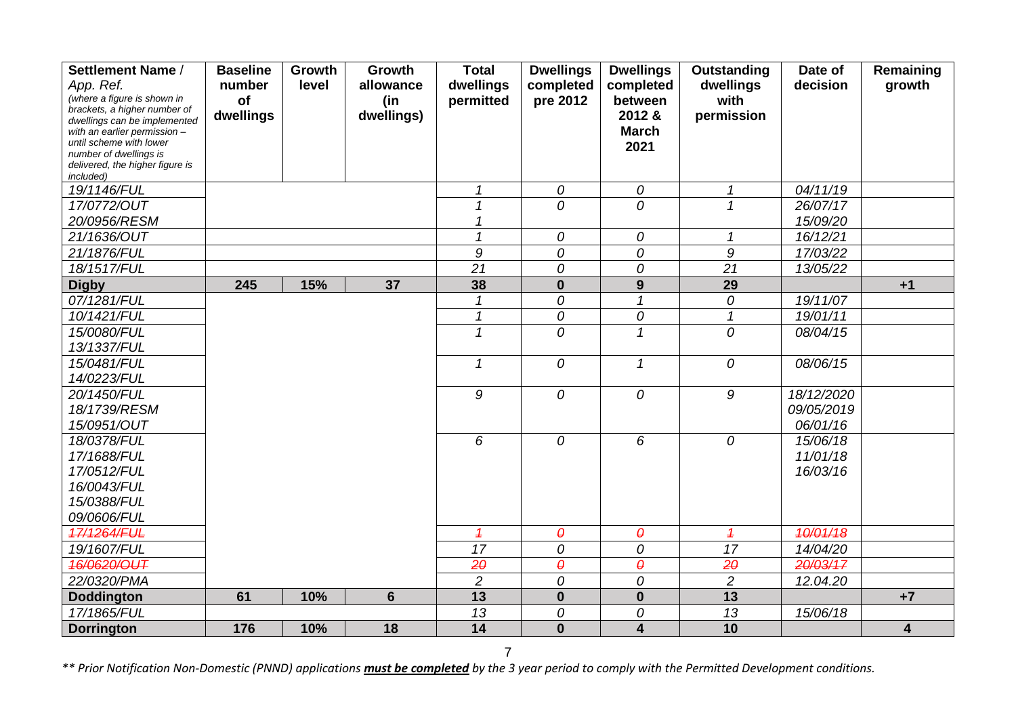| Settlement Name /                                            | <b>Baseline</b> | Growth | Growth         | <b>Total</b>             | <b>Dwellings</b>      | <b>Dwellings</b>        | Outstanding    | Date of    | Remaining               |
|--------------------------------------------------------------|-----------------|--------|----------------|--------------------------|-----------------------|-------------------------|----------------|------------|-------------------------|
| App. Ref.                                                    | number          | level  | allowance      | dwellings                | completed             | completed               | dwellings      | decision   | growth                  |
| (where a figure is shown in                                  | of              |        | (in            | permitted                | pre 2012              | between                 | with           |            |                         |
| brackets, a higher number of<br>dwellings can be implemented | dwellings       |        | dwellings)     |                          |                       | 2012 &                  | permission     |            |                         |
| with an earlier permission -                                 |                 |        |                |                          |                       | <b>March</b>            |                |            |                         |
| until scheme with lower                                      |                 |        |                |                          |                       | 2021                    |                |            |                         |
| number of dwellings is<br>delivered, the higher figure is    |                 |        |                |                          |                       |                         |                |            |                         |
| included)                                                    |                 |        |                |                          |                       |                         |                |            |                         |
| 19/1146/FUL                                                  |                 |        |                | 1                        | 0                     | 0                       | $\mathcal{I}$  | 04/11/19   |                         |
| 17/0772/OUT                                                  |                 |        |                |                          | 0                     | $\overline{O}$          | $\mathbf{1}$   | 26/07/17   |                         |
| 20/0956/RESM                                                 |                 |        |                |                          |                       |                         |                | 15/09/20   |                         |
| 21/1636/OUT                                                  |                 |        |                | $\overline{\mathcal{L}}$ | 0                     | 0                       | $\mathbf{1}$   | 16/12/21   |                         |
| 21/1876/FUL                                                  |                 |        |                | 9                        | 0                     | 0                       | 9              | 17/03/22   |                         |
| 18/1517/FUL                                                  |                 |        |                | 21                       | 0                     | 0                       | 21             | 13/05/22   |                         |
| <b>Digby</b>                                                 | 245             | 15%    | 37             | 38                       | $\bf{0}$              | 9                       | 29             |            | $+1$                    |
| 07/1281/FUL                                                  |                 |        |                |                          | 0                     | $\mathcal I$            | 0              | 19/11/07   |                         |
| 10/1421/FUL                                                  |                 |        |                | 1                        | 0                     | 0                       | $\mathbf{1}$   | 19/01/11   |                         |
| 15/0080/FUL                                                  |                 |        |                | 1                        | 0                     | 1                       | 0              | 08/04/15   |                         |
| 13/1337/FUL                                                  |                 |        |                |                          |                       |                         |                |            |                         |
| 15/0481/FUL                                                  |                 |        |                | $\mathcal I$             | 0                     | $\mathcal{I}$           | 0              | 08/06/15   |                         |
| 14/0223/FUL                                                  |                 |        |                |                          |                       |                         |                |            |                         |
| 20/1450/FUL                                                  |                 |        |                | 9                        | 0                     | 0                       | 9              | 18/12/2020 |                         |
| 18/1739/RESM                                                 |                 |        |                |                          |                       |                         |                | 09/05/2019 |                         |
| 15/0951/OUT                                                  |                 |        |                |                          |                       |                         |                | 06/01/16   |                         |
| 18/0378/FUL                                                  |                 |        |                | 6                        | 0                     | 6                       | 0              | 15/06/18   |                         |
| 17/1688/FUL                                                  |                 |        |                |                          |                       |                         |                | 11/01/18   |                         |
| 17/0512/FUL                                                  |                 |        |                |                          |                       |                         |                | 16/03/16   |                         |
| 16/0043/FUL                                                  |                 |        |                |                          |                       |                         |                |            |                         |
| 15/0388/FUL                                                  |                 |        |                |                          |                       |                         |                |            |                         |
| 09/0606/FUL                                                  |                 |        |                |                          |                       |                         |                |            |                         |
| 17/1264/FUL                                                  |                 |        |                | $\overline{1}$           | $\boldsymbol{\theta}$ | $\pmb{\theta}$          | $\overline{1}$ | 10/01/18   |                         |
| 19/1607/FUL                                                  |                 |        |                | 17                       | 0                     | 0                       | 17             | 14/04/20   |                         |
| 46/0620/OUT                                                  |                 |        |                | $2\theta$                | $\boldsymbol{\theta}$ | $\boldsymbol{\theta}$   | $2\theta$      | 20/03/17   |                         |
| 22/0320/PMA                                                  |                 |        |                | $\overline{c}$           | $\overline{O}$        | $\overline{O}$          | $\overline{c}$ | 12.04.20   |                         |
| <b>Doddington</b>                                            | 61              | 10%    | $6\phantom{1}$ | 13                       | $\bf{0}$              | $\bf{0}$                | 13             |            | $+7$                    |
| 17/1865/FUL                                                  |                 |        |                | 13                       | 0                     | 0                       | 13             | 15/06/18   |                         |
| <b>Dorrington</b>                                            | 176             | 10%    | 18             | 14                       | $\mathbf{0}$          | $\overline{\mathbf{4}}$ | 10             |            | $\overline{\mathbf{4}}$ |

7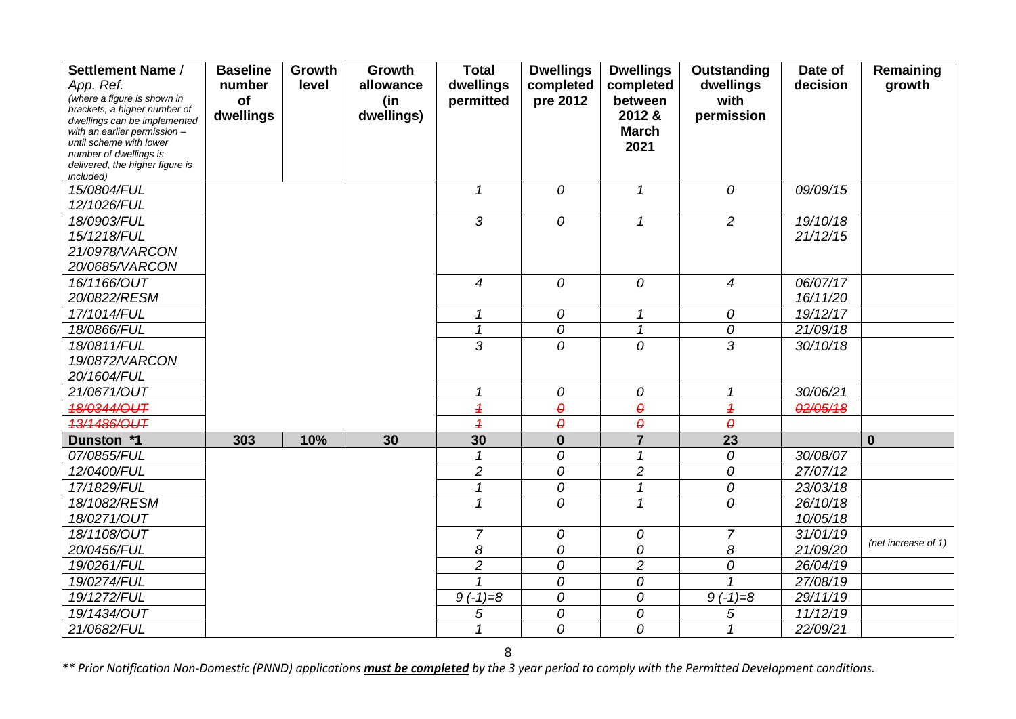| Settlement Name /                                            | <b>Baseline</b> | Growth | <b>Growth</b> | <b>Total</b>             | <b>Dwellings</b>      | <b>Dwellings</b>           | Outstanding    | Date of  | Remaining           |
|--------------------------------------------------------------|-----------------|--------|---------------|--------------------------|-----------------------|----------------------------|----------------|----------|---------------------|
| App. Ref.                                                    | number          | level  | allowance     | dwellings                | completed             | completed                  | dwellings      | decision | growth              |
| (where a figure is shown in                                  | of              |        | (in           | permitted                | pre 2012              | between                    | with           |          |                     |
| brackets, a higher number of<br>dwellings can be implemented | dwellings       |        | dwellings)    |                          |                       | 2012 &                     | permission     |          |                     |
| with an earlier permission -                                 |                 |        |               |                          |                       | <b>March</b>               |                |          |                     |
| until scheme with lower                                      |                 |        |               |                          |                       | 2021                       |                |          |                     |
| number of dwellings is<br>delivered, the higher figure is    |                 |        |               |                          |                       |                            |                |          |                     |
| included)                                                    |                 |        |               |                          |                       |                            |                |          |                     |
| 15/0804/FUL                                                  |                 |        |               | $\mathcal{I}$            | $\overline{O}$        | $\mathcal{I}$              | 0              | 09/09/15 |                     |
| 12/1026/FUL                                                  |                 |        |               |                          |                       |                            |                |          |                     |
| 18/0903/FUL                                                  |                 |        |               | 3                        | 0                     | $\mathcal I$               | $\overline{2}$ | 19/10/18 |                     |
| 15/1218/FUL                                                  |                 |        |               |                          |                       |                            |                | 21/12/15 |                     |
| 21/0978/VARCON                                               |                 |        |               |                          |                       |                            |                |          |                     |
| 20/0685/VARCON                                               |                 |        |               |                          |                       |                            |                |          |                     |
| 16/1166/OUT                                                  |                 |        |               | $\overline{4}$           | $\overline{0}$        | $\overline{O}$             | $\overline{4}$ | 06/07/17 |                     |
| 20/0822/RESM                                                 |                 |        |               |                          |                       |                            |                | 16/11/20 |                     |
| 17/1014/FUL                                                  |                 |        |               | 1                        | 0                     | $\boldsymbol{\mathcal{L}}$ | 0              | 19/12/17 |                     |
| 18/0866/FUL                                                  |                 |        |               | $\mathbf{1}$             | 0                     | $\mathcal I$               | 0              | 21/09/18 |                     |
| 18/0811/FUL                                                  |                 |        |               | 3                        | 0                     | $\overline{O}$             | 3              | 30/10/18 |                     |
| 19/0872/VARCON                                               |                 |        |               |                          |                       |                            |                |          |                     |
| 20/1604/FUL                                                  |                 |        |               |                          |                       |                            |                |          |                     |
| 21/0671/OUT                                                  |                 |        |               | 1                        | 0                     | 0                          | 1              | 30/06/21 |                     |
| 18/0344/OUT                                                  |                 |        |               | $\overline{\mathcal{L}}$ | $\boldsymbol{\theta}$ | $\boldsymbol{\theta}$      | $\overline{1}$ | 02/05/18 |                     |
| 13/1486/OUT                                                  |                 |        |               | $\overline{1}$           | $\boldsymbol{\theta}$ | $\theta$                   | $\theta$       |          |                     |
| Dunston *1                                                   | 303             | 10%    | 30            | 30                       | $\bf{0}$              | $\overline{7}$             | 23             |          | $\mathbf 0$         |
| 07/0855/FUL                                                  |                 |        |               |                          | 0                     | $\mathcal I$               | 0              | 30/08/07 |                     |
| 12/0400/FUL                                                  |                 |        |               | $\overline{c}$           | $\overline{O}$        | $\overline{c}$             | 0              | 27/07/12 |                     |
| 17/1829/FUL                                                  |                 |        |               | $\overline{1}$           | 0                     | $\overline{1}$             | 0              | 23/03/18 |                     |
| 18/1082/RESM                                                 |                 |        |               | 1                        | 0                     | $\mathcal I$               | 0              | 26/10/18 |                     |
| 18/0271/OUT                                                  |                 |        |               |                          |                       |                            |                | 10/05/18 |                     |
| 18/1108/OUT                                                  |                 |        |               | $\overline{7}$           | 0                     | 0                          | $\overline{7}$ | 31/01/19 |                     |
| 20/0456/FUL                                                  |                 |        |               | 8                        | 0                     | 0                          | 8              | 21/09/20 | (net increase of 1) |
| 19/0261/FUL                                                  |                 |        |               | $\overline{2}$           | 0                     | $\overline{c}$             | 0              | 26/04/19 |                     |
| 19/0274/FUL                                                  |                 |        |               |                          | 0                     | ${\cal O}$                 |                | 27/08/19 |                     |
| 19/1272/FUL                                                  |                 |        |               | $9(-1)=8$                | 0                     | 0                          | $9(-1)=8$      | 29/11/19 |                     |
| 19/1434/OUT                                                  |                 |        |               | 5                        | 0                     | 0                          | 5              | 11/12/19 |                     |
| 21/0682/FUL                                                  |                 |        |               | $\mathcal I$             | 0                     | 0                          | 1              | 22/09/21 |                     |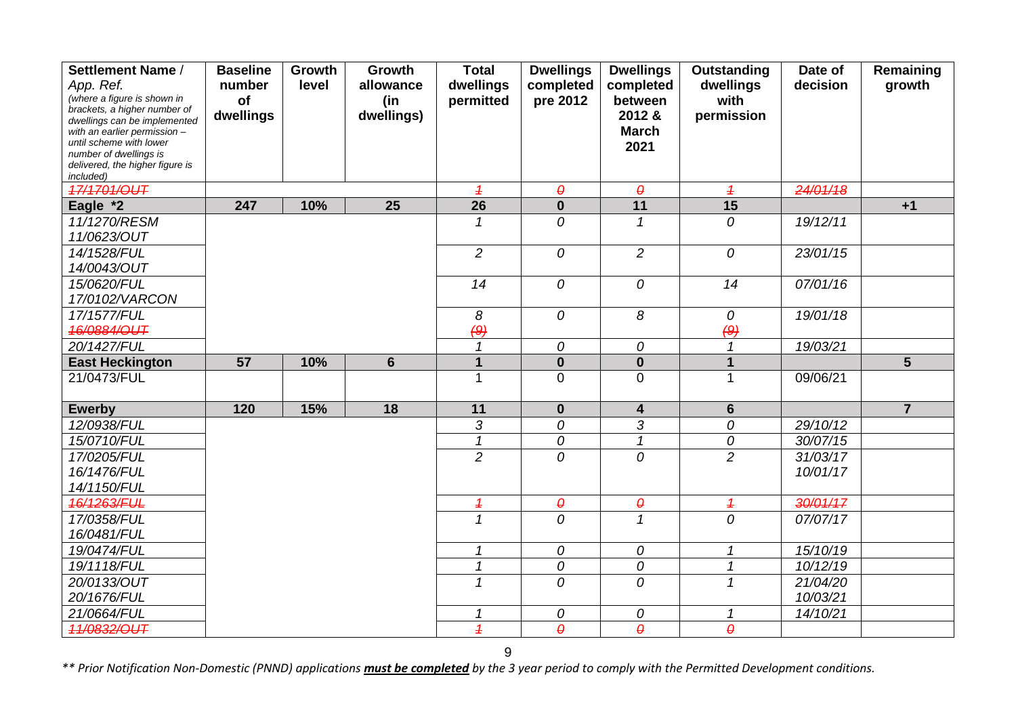| Settlement Name /                                            | <b>Baseline</b> | Growth | Growth          | <b>Total</b>             | <b>Dwellings</b>      | <b>Dwellings</b>         | Outstanding              | Date of  | Remaining      |
|--------------------------------------------------------------|-----------------|--------|-----------------|--------------------------|-----------------------|--------------------------|--------------------------|----------|----------------|
| App. Ref.                                                    | number          | level  | allowance       | dwellings                | completed             | completed                | dwellings                | decision | growth         |
| (where a figure is shown in                                  | of              |        | (in             | permitted                | pre 2012              | between                  | with                     |          |                |
| brackets, a higher number of<br>dwellings can be implemented | dwellings       |        | dwellings)      |                          |                       | 2012 &                   | permission               |          |                |
| with an earlier permission $-$                               |                 |        |                 |                          |                       | <b>March</b>             |                          |          |                |
| until scheme with lower                                      |                 |        |                 |                          |                       | 2021                     |                          |          |                |
| number of dwellings is<br>delivered, the higher figure is    |                 |        |                 |                          |                       |                          |                          |          |                |
| included)                                                    |                 |        |                 |                          |                       |                          |                          |          |                |
| 17/1701/OUT                                                  |                 |        |                 | $\overline{1}$           | $\boldsymbol{\theta}$ | $\boldsymbol{\theta}$    | $\overline{1}$           | 24/01/18 |                |
| Eagle *2                                                     | 247             | 10%    | 25              | 26                       | $\mathbf 0$           | 11                       | 15                       |          | $+1$           |
| 11/1270/RESM                                                 |                 |        |                 | 1                        | 0                     | 1                        | 0                        | 19/12/11 |                |
| 11/0623/OUT                                                  |                 |        |                 |                          |                       |                          |                          |          |                |
| 14/1528/FUL                                                  |                 |        |                 | $\overline{2}$           | 0                     | $\overline{2}$           | 0                        | 23/01/15 |                |
| 14/0043/OUT                                                  |                 |        |                 |                          |                       |                          |                          |          |                |
| 15/0620/FUL                                                  |                 |        |                 | 14                       | 0                     | 0                        | $\overline{14}$          | 07/01/16 |                |
| 17/0102/VARCON                                               |                 |        |                 |                          |                       |                          |                          |          |                |
| 17/1577/FUL                                                  |                 |        |                 | 8                        | 0                     | 8                        | 0                        | 19/01/18 |                |
| 46/0884/OUT                                                  |                 |        |                 | (9)                      |                       |                          | (9)                      |          |                |
| 20/1427/FUL                                                  |                 |        |                 | 1                        | 0                     | 0                        | $\mathcal I$             | 19/03/21 |                |
| <b>East Heckington</b>                                       | 57              | 10%    | $6\phantom{1}6$ | $\overline{1}$           | $\mathbf{0}$          | $\mathbf{0}$             | $\mathbf{1}$             |          | 5              |
| 21/0473/FUL                                                  |                 |        |                 |                          | $\overline{0}$        | $\mathbf 0$              | 1                        | 09/06/21 |                |
|                                                              |                 |        |                 |                          |                       |                          |                          |          |                |
| <b>Ewerby</b>                                                | 120             | 15%    | 18              | 11                       | $\mathbf{0}$          | 4                        | 6                        |          | $\overline{7}$ |
| 12/0938/FUL                                                  |                 |        |                 | 3                        | 0                     | 3                        | 0                        | 29/10/12 |                |
| 15/0710/FUL                                                  |                 |        |                 | $\overline{1}$           | 0                     | $\overline{\mathcal{L}}$ | 0                        | 30/07/15 |                |
| 17/0205/FUL                                                  |                 |        |                 | $\overline{2}$           | 0                     | 0                        | $\overline{2}$           | 31/03/17 |                |
| 16/1476/FUL                                                  |                 |        |                 |                          |                       |                          |                          | 10/01/17 |                |
| 14/1150/FUL                                                  |                 |        |                 |                          |                       |                          |                          |          |                |
| 16/1263/FUL                                                  |                 |        |                 | $\overline{\mathcal{L}}$ | $\pmb{\varrho}$       | $\pmb{\varrho}$          | $\overline{\mathcal{L}}$ | 30/01/17 |                |
| 17/0358/FUL                                                  |                 |        |                 | $\mathbf{1}$             | 0                     | $\mathcal I$             | 0                        | 07/07/17 |                |
| 16/0481/FUL                                                  |                 |        |                 |                          |                       |                          |                          |          |                |
| 19/0474/FUL                                                  |                 |        |                 | 1                        | 0                     | 0                        | 1                        | 15/10/19 |                |
| 19/1118/FUL                                                  |                 |        |                 | $\overline{\mathcal{L}}$ | 0                     | 0                        | $\mathbf{1}$             | 10/12/19 |                |
| 20/0133/OUT                                                  |                 |        |                 | 1                        | 0                     | 0                        | $\mathbf{1}$             | 21/04/20 |                |
| 20/1676/FUL                                                  |                 |        |                 |                          |                       |                          |                          | 10/03/21 |                |
| 21/0664/FUL                                                  |                 |        |                 |                          | 0                     | 0                        | 1                        | 14/10/21 |                |
| 11/0832/OUT                                                  |                 |        |                 | $\overline{1}$           | $\boldsymbol{\theta}$ | $\theta$                 | $\theta$                 |          |                |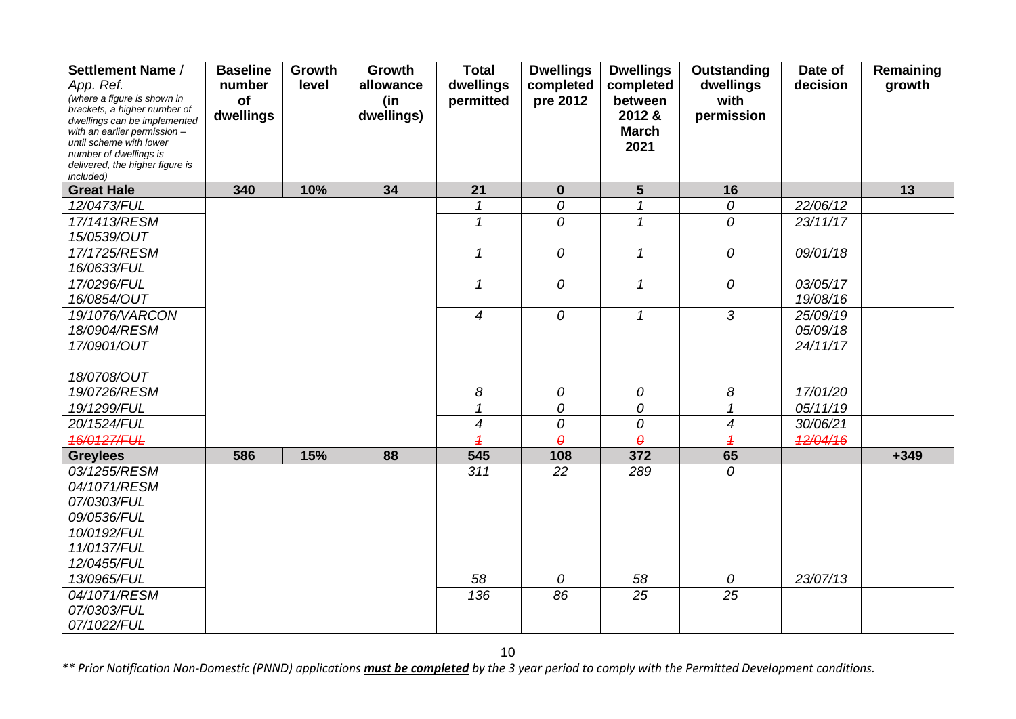| Settlement Name /                                            | <b>Baseline</b> | Growth | Growth     | <b>Total</b>             | <b>Dwellings</b>    | <b>Dwellings</b>           | Outstanding                                    | Date of              | Remaining |
|--------------------------------------------------------------|-----------------|--------|------------|--------------------------|---------------------|----------------------------|------------------------------------------------|----------------------|-----------|
| App. Ref.                                                    | number          | level  | allowance  | dwellings                | completed           | completed                  | dwellings                                      | decision             | growth    |
| (where a figure is shown in                                  | of              |        | (in        | permitted                | pre 2012            | between                    | with                                           |                      |           |
| brackets, a higher number of<br>dwellings can be implemented | dwellings       |        | dwellings) |                          |                     | 2012 &                     | permission                                     |                      |           |
| with an earlier permission -                                 |                 |        |            |                          |                     | <b>March</b>               |                                                |                      |           |
| until scheme with lower<br>number of dwellings is            |                 |        |            |                          |                     | 2021                       |                                                |                      |           |
| delivered, the higher figure is                              |                 |        |            |                          |                     |                            |                                                |                      |           |
| included)                                                    |                 |        |            |                          |                     |                            |                                                |                      |           |
| <b>Great Hale</b>                                            | 340             | 10%    | 34         | 21                       | $\mathbf{0}$        | $5\phantom{1}$             | 16                                             |                      | 13        |
| 12/0473/FUL                                                  |                 |        |            | 1                        | 0                   | $\mathcal I$               | $\mathcal O$                                   | 22/06/12             |           |
| 17/1413/RESM                                                 |                 |        |            | 1                        | $\overline{O}$      | $\mathcal I$               | $\overline{O}$                                 | 23/11/17             |           |
| 15/0539/OUT                                                  |                 |        |            |                          |                     |                            |                                                |                      |           |
| 17/1725/RESM                                                 |                 |        |            | $\mathcal I$             | $\overline{O}$      | $\mathcal I$               | 0                                              | 09/01/18             |           |
| 16/0633/FUL                                                  |                 |        |            |                          |                     |                            |                                                |                      |           |
| 17/0296/FUL                                                  |                 |        |            | 1                        | $\overline{O}$      | $\boldsymbol{\mathcal{L}}$ | 0                                              | 03/05/17             |           |
| 16/0854/OUT                                                  |                 |        |            |                          |                     |                            |                                                | 19/08/16             |           |
| 19/1076/VARCON                                               |                 |        |            | $\overline{4}$           | $\overline{O}$      | $\mathcal I$               | $\overline{3}$                                 | 25/09/19             |           |
| 18/0904/RESM                                                 |                 |        |            |                          |                     |                            |                                                | 05/09/18             |           |
| 17/0901/OUT                                                  |                 |        |            |                          |                     |                            |                                                | 24/11/17             |           |
|                                                              |                 |        |            |                          |                     |                            |                                                |                      |           |
| 18/0708/OUT                                                  |                 |        |            |                          |                     |                            |                                                |                      |           |
| 19/0726/RESM                                                 |                 |        |            | 8<br>1                   | 0                   | 0                          | 8                                              | 17/01/20             |           |
| 19/1299/FUL<br>20/1524/FUL                                   |                 |        |            | $\overline{\mathcal{A}}$ | 0                   | 0<br>0                     | $\boldsymbol{\mathcal{L}}$<br>$\boldsymbol{4}$ | 05/11/19<br>30/06/21 |           |
| 16/0127/FUL                                                  |                 |        |            | $\overline{1}$           | 0<br>$\pmb{\theta}$ | $\theta$                   | $\overline{1}$                                 | 12/04/16             |           |
| <b>Greylees</b>                                              | 586             | 15%    | 88         | 545                      | 108                 | 372                        | 65                                             |                      | $+349$    |
| 03/1255/RESM                                                 |                 |        |            | 311                      | 22                  | 289                        | 0                                              |                      |           |
| 04/1071/RESM                                                 |                 |        |            |                          |                     |                            |                                                |                      |           |
| 07/0303/FUL                                                  |                 |        |            |                          |                     |                            |                                                |                      |           |
| 09/0536/FUL                                                  |                 |        |            |                          |                     |                            |                                                |                      |           |
| 10/0192/FUL                                                  |                 |        |            |                          |                     |                            |                                                |                      |           |
| 11/0137/FUL                                                  |                 |        |            |                          |                     |                            |                                                |                      |           |
| 12/0455/FUL                                                  |                 |        |            |                          |                     |                            |                                                |                      |           |
| 13/0965/FUL                                                  |                 |        |            | 58                       | 0                   | 58                         | 0                                              | 23/07/13             |           |
| 04/1071/RESM                                                 |                 |        |            | 136                      | 86                  | 25                         | 25                                             |                      |           |
| 07/0303/FUL                                                  |                 |        |            |                          |                     |                            |                                                |                      |           |
| 07/1022/FUL                                                  |                 |        |            |                          |                     |                            |                                                |                      |           |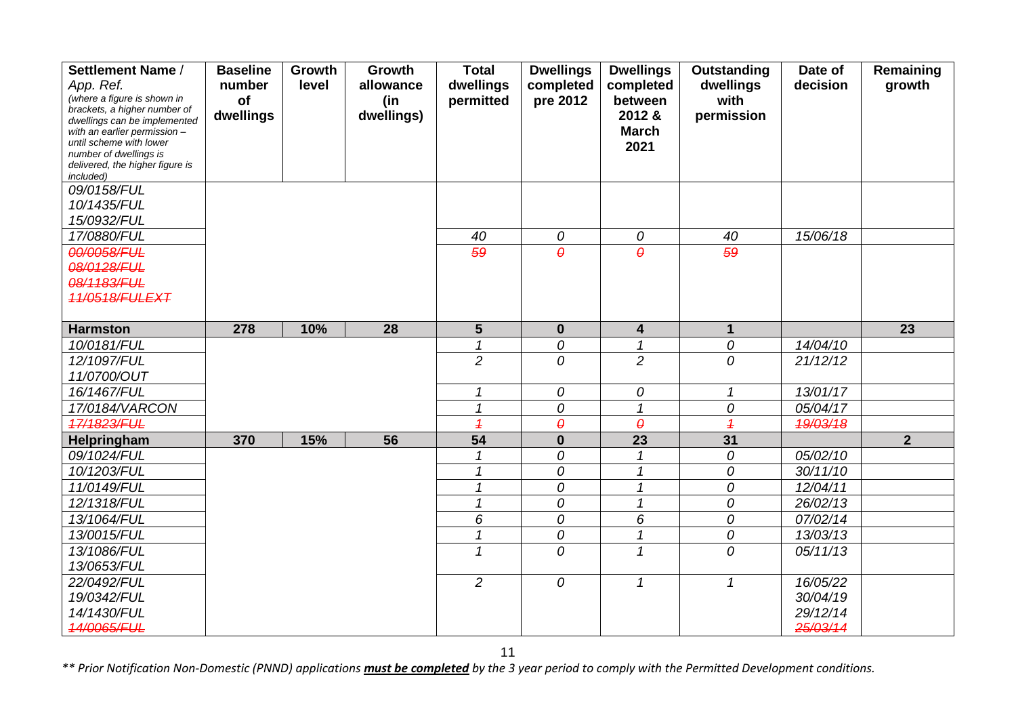| Settlement Name /                                            | <b>Baseline</b> | Growth | Growth     | <b>Total</b>             | <b>Dwellings</b>      | <b>Dwellings</b>           | Outstanding     | Date of  | Remaining      |
|--------------------------------------------------------------|-----------------|--------|------------|--------------------------|-----------------------|----------------------------|-----------------|----------|----------------|
| App. Ref.                                                    | number          | level  | allowance  | dwellings                | completed             | completed                  | dwellings       | decision | growth         |
| (where a figure is shown in                                  | of              |        | (in        | permitted                | pre 2012              | between                    | with            |          |                |
| brackets, a higher number of<br>dwellings can be implemented | dwellings       |        | dwellings) |                          |                       | 2012 &                     | permission      |          |                |
| with an earlier permission -                                 |                 |        |            |                          |                       | <b>March</b>               |                 |          |                |
| until scheme with lower<br>number of dwellings is            |                 |        |            |                          |                       | 2021                       |                 |          |                |
| delivered, the higher figure is                              |                 |        |            |                          |                       |                            |                 |          |                |
| included)                                                    |                 |        |            |                          |                       |                            |                 |          |                |
| 09/0158/FUL                                                  |                 |        |            |                          |                       |                            |                 |          |                |
| 10/1435/FUL                                                  |                 |        |            |                          |                       |                            |                 |          |                |
| 15/0932/FUL                                                  |                 |        |            |                          |                       |                            |                 |          |                |
| 17/0880/FUL                                                  |                 |        |            | 40                       | 0                     | 0                          | 40              | 15/06/18 |                |
| 00/0058/FUL                                                  |                 |        |            | 59                       | $\theta$              | $\theta$                   | 59              |          |                |
| 08/0128/FUL                                                  |                 |        |            |                          |                       |                            |                 |          |                |
| 08/1183/FUL                                                  |                 |        |            |                          |                       |                            |                 |          |                |
| 11/0518/FULEXT                                               |                 |        |            |                          |                       |                            |                 |          |                |
|                                                              |                 |        |            |                          |                       |                            |                 |          |                |
| <b>Harmston</b>                                              | 278             | 10%    | 28         | $5\phantom{.}$           | $\bf{0}$              | $\overline{\mathbf{4}}$    | $\mathbf{1}$    |          | 23             |
| 10/0181/FUL                                                  |                 |        |            |                          | 0                     | $\mathbf{1}$               | 0               | 14/04/10 |                |
| 12/1097/FUL                                                  |                 |        |            | $\overline{2}$           | 0                     | $\overline{2}$             | 0               | 21/12/12 |                |
| 11/0700/OUT                                                  |                 |        |            |                          |                       |                            |                 |          |                |
| 16/1467/FUL                                                  |                 |        |            | 1                        | 0                     | 0                          | $\mathbf{1}$    | 13/01/17 |                |
| 17/0184/VARCON                                               |                 |        |            | $\mathcal I$             | 0                     | $\overline{1}$             | 0               | 05/04/17 |                |
| 17/1823/FUL                                                  |                 |        |            | $\overline{1}$           | $\boldsymbol{\theta}$ | $\theta$                   | $\overline{1}$  | 19/03/18 |                |
| Helpringham                                                  | 370             | 15%    | 56         | $\overline{54}$          | $\mathbf 0$           | 23                         | $\overline{31}$ |          | $\overline{2}$ |
| 09/1024/FUL                                                  |                 |        |            |                          | 0                     | $\mathcal I$               | 0               | 05/02/10 |                |
| 10/1203/FUL                                                  |                 |        |            | $\overline{\mathcal{L}}$ | 0                     | $\mathcal I$               | 0               | 30/11/10 |                |
| 11/0149/FUL                                                  |                 |        |            | 1                        | 0                     | 1                          | 0               | 12/04/11 |                |
| 12/1318/FUL                                                  |                 |        |            | 1                        | 0                     | $\mathcal I$               | 0               | 26/02/13 |                |
| 13/1064/FUL                                                  |                 |        |            | 6                        | 0                     | 6                          | 0               | 07/02/14 |                |
| 13/0015/FUL                                                  |                 |        |            | $\overline{1}$           | 0                     | $\boldsymbol{\mathcal{L}}$ | 0               | 13/03/13 |                |
| 13/1086/FUL                                                  |                 |        |            | 1                        | 0                     | $\mathcal I$               | 0               | 05/11/13 |                |
| 13/0653/FUL                                                  |                 |        |            |                          |                       |                            |                 |          |                |
| 22/0492/FUL                                                  |                 |        |            | $\overline{c}$           | 0                     | $\boldsymbol{\mathcal{L}}$ | $\mathcal{I}$   | 16/05/22 |                |
| 19/0342/FUL                                                  |                 |        |            |                          |                       |                            |                 | 30/04/19 |                |
| 14/1430/FUL                                                  |                 |        |            |                          |                       |                            |                 | 29/12/14 |                |
| 14/0065/FUL                                                  |                 |        |            |                          |                       |                            |                 | 25/03/14 |                |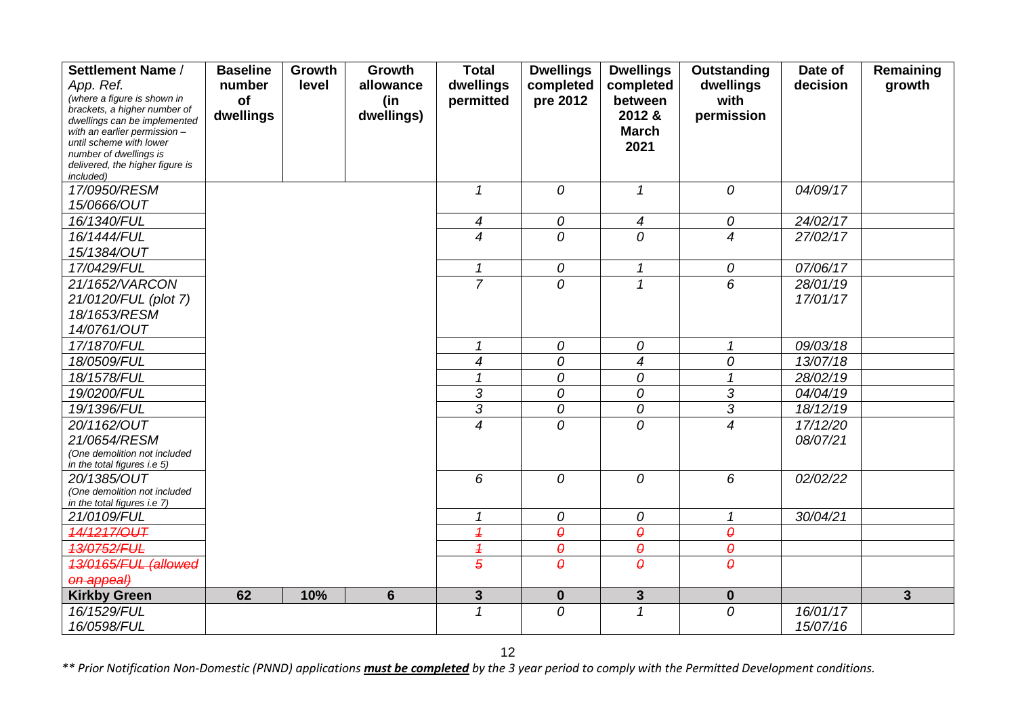| Settlement Name /                                            | <b>Baseline</b> | Growth | Growth         | <b>Total</b>             | <b>Dwellings</b>      | <b>Dwellings</b>           | <b>Outstanding</b>         | Date of  | Remaining    |
|--------------------------------------------------------------|-----------------|--------|----------------|--------------------------|-----------------------|----------------------------|----------------------------|----------|--------------|
| App. Ref.                                                    | number          | level  | allowance      | dwellings                | completed             | completed                  | dwellings                  | decision | growth       |
| (where a figure is shown in                                  | of              |        | (in            | permitted                | pre 2012              | between                    | with                       |          |              |
| brackets, a higher number of                                 | dwellings       |        | dwellings)     |                          |                       | 2012 &                     | permission                 |          |              |
| dwellings can be implemented<br>with an earlier permission - |                 |        |                |                          |                       | <b>March</b>               |                            |          |              |
| until scheme with lower                                      |                 |        |                |                          |                       | 2021                       |                            |          |              |
| number of dwellings is                                       |                 |        |                |                          |                       |                            |                            |          |              |
| delivered, the higher figure is<br>included)                 |                 |        |                |                          |                       |                            |                            |          |              |
| 17/0950/RESM                                                 |                 |        |                | 1                        | 0                     | $\boldsymbol{\mathcal{L}}$ | 0                          | 04/09/17 |              |
| 15/0666/OUT                                                  |                 |        |                |                          |                       |                            |                            |          |              |
| 16/1340/FUL                                                  |                 |        |                | $\overline{4}$           | 0                     | $\boldsymbol{4}$           | 0                          | 24/02/17 |              |
| 16/1444/FUL                                                  |                 |        |                | $\boldsymbol{4}$         | 0                     | 0                          | $\overline{4}$             | 27/02/17 |              |
| 15/1384/OUT                                                  |                 |        |                |                          |                       |                            |                            |          |              |
| 17/0429/FUL                                                  |                 |        |                | $\mathbf{1}$             | 0                     | $\boldsymbol{\mathcal{L}}$ | 0                          | 07/06/17 |              |
| 21/1652/VARCON                                               |                 |        |                | $\overline{7}$           | $\Omega$              | $\mathbf{1}$               | 6                          | 28/01/19 |              |
| 21/0120/FUL (plot 7)                                         |                 |        |                |                          |                       |                            |                            | 17/01/17 |              |
| 18/1653/RESM                                                 |                 |        |                |                          |                       |                            |                            |          |              |
| 14/0761/OUT                                                  |                 |        |                |                          |                       |                            |                            |          |              |
| 17/1870/FUL                                                  |                 |        |                | $\mathcal I$             | 0                     | 0                          | $\mathbf{1}$               | 09/03/18 |              |
| 18/0509/FUL                                                  |                 |        |                | $\overline{4}$           | 0                     | $\overline{4}$             | 0                          | 13/07/18 |              |
| 18/1578/FUL                                                  |                 |        |                |                          | 0                     | 0                          | 1                          | 28/02/19 |              |
| 19/0200/FUL                                                  |                 |        |                | 3                        | 0                     | $\cal O$                   | $\sqrt{3}$                 | 04/04/19 |              |
| 19/1396/FUL                                                  |                 |        |                | $\overline{3}$           | 0                     | ${\cal O}$                 | $\overline{3}$             | 18/12/19 |              |
| 20/1162/OUT                                                  |                 |        |                | $\overline{4}$           | 0                     | $\mathcal{O}$              | $\overline{4}$             | 17/12/20 |              |
| 21/0654/RESM                                                 |                 |        |                |                          |                       |                            |                            | 08/07/21 |              |
| (One demolition not included<br>in the total figures i.e 5)  |                 |        |                |                          |                       |                            |                            |          |              |
| 20/1385/OUT                                                  |                 |        |                | 6                        | 0                     | 0                          | 6                          | 02/02/22 |              |
| (One demolition not included                                 |                 |        |                |                          |                       |                            |                            |          |              |
| in the total figures i.e 7)                                  |                 |        |                |                          |                       |                            |                            |          |              |
| 21/0109/FUL                                                  |                 |        |                | 1                        | 0                     | 0                          | $\boldsymbol{\mathcal{L}}$ | 30/04/21 |              |
| 14/1217/OUT                                                  |                 |        |                | $\overline{\mathcal{L}}$ | $\boldsymbol{\theta}$ | $\pmb{\theta}$             | $\boldsymbol{\varTheta}$   |          |              |
| 13/0752/FUL                                                  |                 |        |                | $\overline{\mathcal{L}}$ | $\boldsymbol{\theta}$ | $\pmb{\theta}$             | $\pmb{\theta}$             |          |              |
| 13/0165/FUL (allowed                                         |                 |        |                | $\overline{5}$           | $\theta$              | $\theta$                   | $\theta$                   |          |              |
| on appeal)                                                   |                 |        |                |                          |                       |                            |                            |          |              |
| <b>Kirkby Green</b>                                          | 62              | 10%    | $6\phantom{1}$ | $\mathbf{3}$             | $\mathbf 0$           | $\mathbf{3}$               | $\mathbf 0$                |          | $\mathbf{3}$ |
| 16/1529/FUL                                                  |                 |        |                | $\overline{1}$           | 0                     | $\mathcal{I}$              | 0                          | 16/01/17 |              |
| 16/0598/FUL                                                  |                 |        |                |                          |                       |                            |                            | 15/07/16 |              |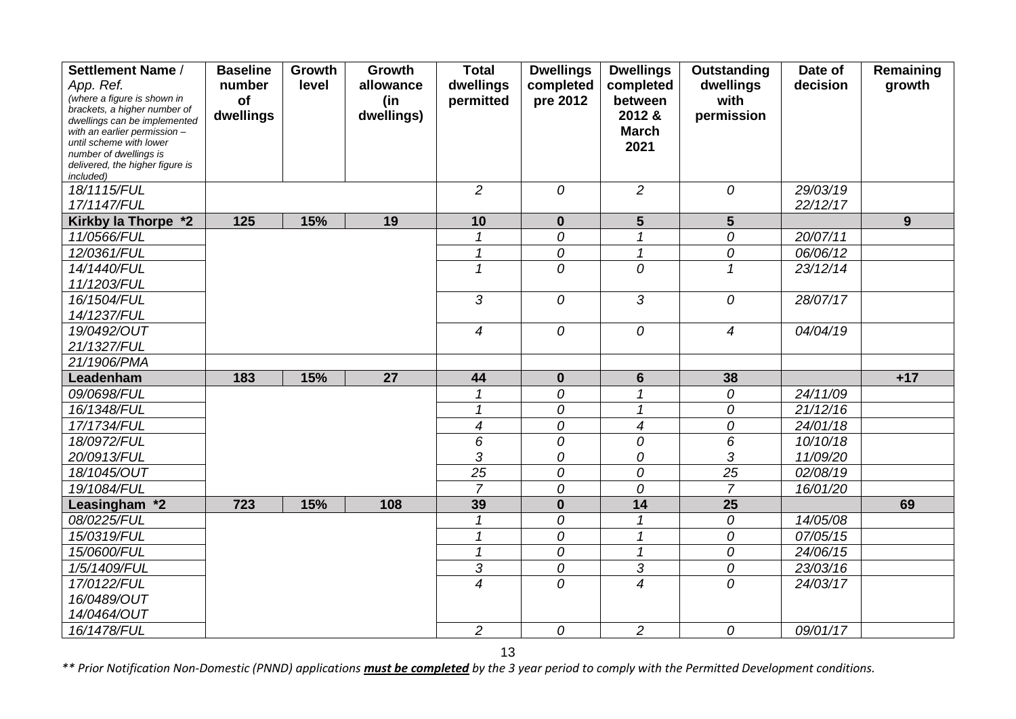| Settlement Name /                                           | <b>Baseline</b> | Growth | Growth     | <b>Total</b>    | <b>Dwellings</b> | <b>Dwellings</b>           | Outstanding     | Date of  | Remaining |
|-------------------------------------------------------------|-----------------|--------|------------|-----------------|------------------|----------------------------|-----------------|----------|-----------|
| App. Ref.                                                   | number          | level  | allowance  | dwellings       | completed        | completed                  | dwellings       | decision | growth    |
| (where a figure is shown in<br>brackets, a higher number of | of              |        | (in        | permitted       | pre 2012         | between                    | with            |          |           |
| dwellings can be implemented                                | dwellings       |        | dwellings) |                 |                  | 2012 &                     | permission      |          |           |
| with an earlier permission -                                |                 |        |            |                 |                  | <b>March</b>               |                 |          |           |
| until scheme with lower<br>number of dwellings is           |                 |        |            |                 |                  | 2021                       |                 |          |           |
| delivered, the higher figure is                             |                 |        |            |                 |                  |                            |                 |          |           |
| included)                                                   |                 |        |            |                 |                  |                            |                 |          |           |
| 18/1115/FUL                                                 |                 |        |            | $\overline{c}$  | $\overline{O}$   | $\overline{2}$             | 0               | 29/03/19 |           |
| 17/1147/FUL                                                 |                 |        |            |                 |                  |                            |                 | 22/12/17 |           |
| Kirkby la Thorpe *2                                         | 125             | 15%    | 19         | 10              | $\mathbf{0}$     | 5                          | $5\phantom{1}$  |          | 9         |
| 11/0566/FUL                                                 |                 |        |            | 1               | 0                | 1                          | 0               | 20/07/11 |           |
| 12/0361/FUL                                                 |                 |        |            | $\mathbf{1}$    | 0                | $\mathcal I$               | 0               | 06/06/12 |           |
| 14/1440/FUL                                                 |                 |        |            | $\mathbf{1}$    | 0                | 0                          | $\mathcal I$    | 23/12/14 |           |
| 11/1203/FUL                                                 |                 |        |            |                 |                  |                            |                 |          |           |
| 16/1504/FUL                                                 |                 |        |            | 3               | 0                | 3                          | 0               | 28/07/17 |           |
| 14/1237/FUL                                                 |                 |        |            |                 |                  |                            |                 |          |           |
| 19/0492/OUT                                                 |                 |        |            | $\overline{4}$  | $\overline{O}$   | 0                          | $\overline{4}$  | 04/04/19 |           |
| 21/1327/FUL                                                 |                 |        |            |                 |                  |                            |                 |          |           |
| 21/1906/PMA                                                 |                 |        |            |                 |                  |                            |                 |          |           |
| Leadenham                                                   | 183             | 15%    | 27         | 44              | $\mathbf{0}$     | $6\phantom{1}$             | 38              |          | $+17$     |
| 09/0698/FUL                                                 |                 |        |            |                 | $\overline{O}$   | $\mathbf{1}$               | $\overline{O}$  | 24/11/09 |           |
| 16/1348/FUL                                                 |                 |        |            | $\mathcal I$    | 0                | $\boldsymbol{\mathcal{L}}$ | 0               | 21/12/16 |           |
| 17/1734/FUL                                                 |                 |        |            | $\overline{4}$  | 0                | $\overline{4}$             | 0               | 24/01/18 |           |
| 18/0972/FUL                                                 |                 |        |            | 6               | 0                | 0                          | 6               | 10/10/18 |           |
| 20/0913/FUL                                                 |                 |        |            | 3               | 0                | 0                          | 3               | 11/09/20 |           |
| 18/1045/OUT                                                 |                 |        |            | $\overline{25}$ | 0                | 0                          | $\overline{25}$ | 02/08/19 |           |
| 19/1084/FUL                                                 |                 |        |            | $\overline{7}$  | 0                | 0                          | $\overline{7}$  | 16/01/20 |           |
| Leasingham *2                                               | 723             | 15%    | 108        | 39              | $\bf{0}$         | 14                         | 25              |          | 69        |
| 08/0225/FUL                                                 |                 |        |            |                 | 0                |                            | 0               | 14/05/08 |           |
| 15/0319/FUL                                                 |                 |        |            | $\mathcal I$    | 0                | 1                          | 0               | 07/05/15 |           |
| 15/0600/FUL                                                 |                 |        |            | $\mathcal I$    | 0                | $\mathcal I$               | 0               | 24/06/15 |           |
| 1/5/1409/FUL                                                |                 |        |            | 3               | 0                | $\sqrt{3}$                 | 0               | 23/03/16 |           |
| 17/0122/FUL                                                 |                 |        |            | $\overline{4}$  | 0                | $\overline{4}$             | 0               | 24/03/17 |           |
| 16/0489/OUT                                                 |                 |        |            |                 |                  |                            |                 |          |           |
| 14/0464/OUT                                                 |                 |        |            |                 |                  |                            |                 |          |           |
| 16/1478/FUL                                                 |                 |        |            | $\overline{a}$  | 0                | $\overline{c}$             | 0               | 09/01/17 |           |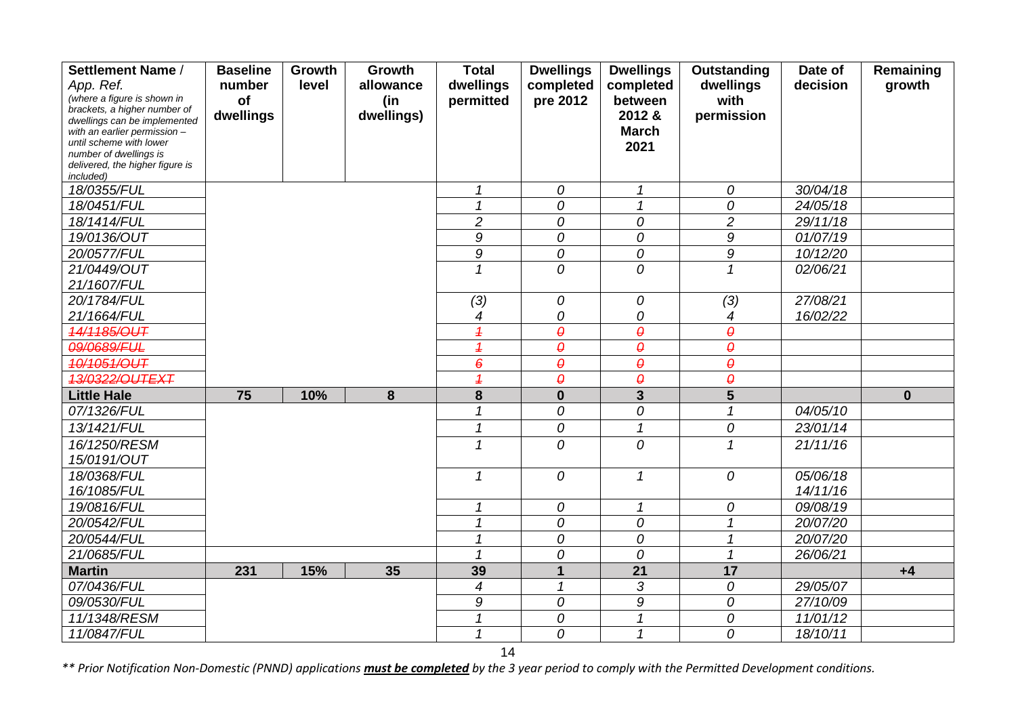| Settlement Name /                                           | <b>Baseline</b> | Growth | Growth     | <b>Total</b>             | <b>Dwellings</b>       | <b>Dwellings</b>           | Outstanding            | Date of  | Remaining    |
|-------------------------------------------------------------|-----------------|--------|------------|--------------------------|------------------------|----------------------------|------------------------|----------|--------------|
| App. Ref.                                                   | number          | level  | allowance  | dwellings                | completed              | completed                  | dwellings              | decision | growth       |
| (where a figure is shown in<br>brackets, a higher number of | of              |        | (in        | permitted                | pre 2012               | between                    | with                   |          |              |
| dwellings can be implemented                                | dwellings       |        | dwellings) |                          |                        | 2012 &                     | permission             |          |              |
| with an earlier permission -                                |                 |        |            |                          |                        | <b>March</b>               |                        |          |              |
| until scheme with lower<br>number of dwellings is           |                 |        |            |                          |                        | 2021                       |                        |          |              |
| delivered, the higher figure is                             |                 |        |            |                          |                        |                            |                        |          |              |
| included)                                                   |                 |        |            |                          |                        |                            |                        |          |              |
| 18/0355/FUL                                                 |                 |        |            | 1                        | 0                      | $\mathcal I$               | 0                      | 30/04/18 |              |
| 18/0451/FUL                                                 |                 |        |            | 1                        | 0                      | $\boldsymbol{\mathcal{L}}$ | 0                      | 24/05/18 |              |
| 18/1414/FUL                                                 |                 |        |            | $\overline{c}$           | 0                      | 0                          | $\overline{c}$         | 29/11/18 |              |
| 19/0136/OUT                                                 |                 |        |            | 9                        | 0                      | 0                          | 9                      | 01/07/19 |              |
| 20/0577/FUL                                                 |                 |        |            | 9                        | 0                      | 0                          | 9                      | 10/12/20 |              |
| 21/0449/OUT                                                 |                 |        |            | 1                        | 0                      | 0                          | 1                      | 02/06/21 |              |
| 21/1607/FUL                                                 |                 |        |            |                          |                        |                            |                        |          |              |
| 20/1784/FUL                                                 |                 |        |            | (3)                      | 0                      | 0                          | (3)                    | 27/08/21 |              |
| 21/1664/FUL                                                 |                 |        |            | 4                        | 0                      | 0                          | 4                      | 16/02/22 |              |
| 14/1185/OUT                                                 |                 |        |            | $\overline{\mathcal{L}}$ | $\boldsymbol{\varrho}$ | $\boldsymbol{\varrho}$     | $\boldsymbol{\varrho}$ |          |              |
| 09/0689/FUL                                                 |                 |        |            | $\overline{1}$           | $\boldsymbol{\theta}$  | $\boldsymbol{\theta}$      | $\theta$               |          |              |
| 10/1051/OUT                                                 |                 |        |            | $\boldsymbol{\epsilon}$  | $\boldsymbol{\varrho}$ | $\pmb{\varrho}$            | $\pmb{\varrho}$        |          |              |
| 13/0322/OUTEXT                                              |                 |        |            | $\overline{1}$           | $\pmb{\varrho}$        | $\pmb{\varrho}$            | $\boldsymbol{\varrho}$ |          |              |
| <b>Little Hale</b>                                          | 75              | 10%    | 8          | 8                        | $\bf{0}$               | $\overline{\mathbf{3}}$    | $5\phantom{1}$         |          | $\mathbf{0}$ |
| 07/1326/FUL                                                 |                 |        |            | 1                        | 0                      | 0                          | $\mathcal{I}$          | 04/05/10 |              |
| 13/1421/FUL                                                 |                 |        |            | 1                        | 0                      | $\overline{1}$             | 0                      | 23/01/14 |              |
| 16/1250/RESM                                                |                 |        |            | 1                        | 0                      | 0                          | $\mathbf{1}$           | 21/11/16 |              |
| 15/0191/OUT                                                 |                 |        |            |                          |                        |                            |                        |          |              |
| 18/0368/FUL                                                 |                 |        |            | 1                        | 0                      | $\mathbf{1}$               | 0                      | 05/06/18 |              |
| 16/1085/FUL                                                 |                 |        |            |                          |                        |                            |                        | 14/11/16 |              |
| 19/0816/FUL                                                 |                 |        |            | 1                        | 0                      | $\mathcal I$               | 0                      | 09/08/19 |              |
| 20/0542/FUL                                                 |                 |        |            |                          | 0                      | 0                          |                        | 20/07/20 |              |
| 20/0544/FUL                                                 |                 |        |            |                          | 0                      | 0                          |                        | 20/07/20 |              |
| 21/0685/FUL                                                 |                 |        |            |                          | 0                      | 0                          | 1                      | 26/06/21 |              |
| <b>Martin</b>                                               | 231             | 15%    | 35         | 39                       | 1                      | 21                         | 17                     |          | $+4$         |
| 07/0436/FUL                                                 |                 |        |            | $\overline{\mathcal{A}}$ | 1                      | $\mathfrak{Z}$             | 0                      | 29/05/07 |              |
| 09/0530/FUL                                                 |                 |        |            | 9                        | 0                      | 9                          | 0                      | 27/10/09 |              |
| 11/1348/RESM                                                |                 |        |            | 1                        | 0                      | $\mathcal I$               | 0                      | 11/01/12 |              |
| 11/0847/FUL                                                 |                 |        |            | 1                        | 0                      | 1                          | 0                      | 18/10/11 |              |

14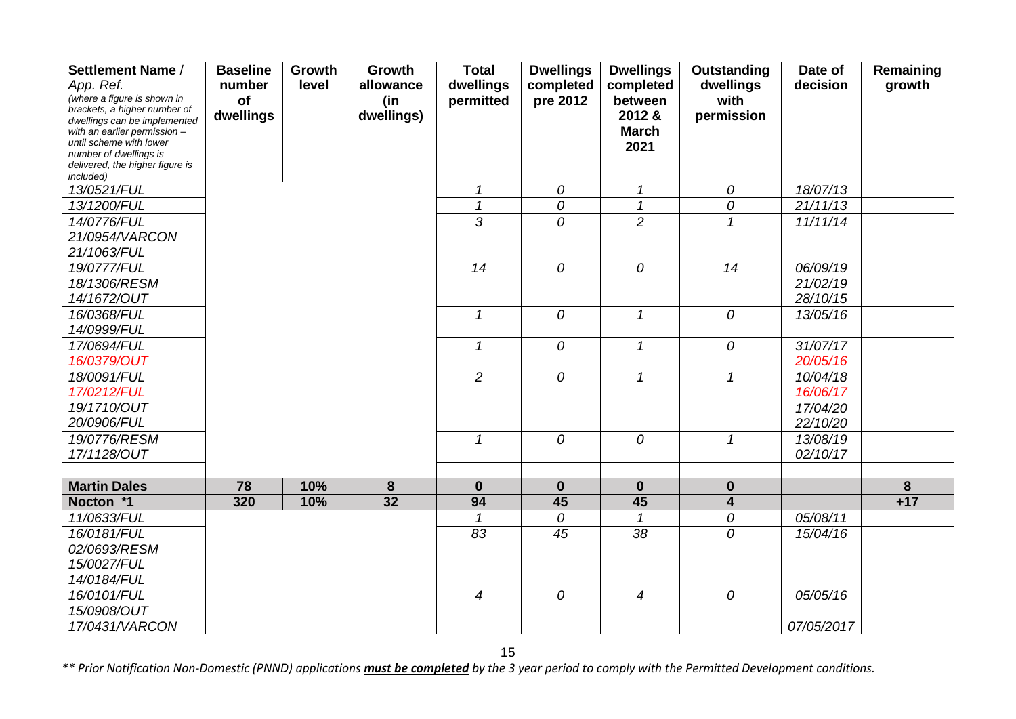| Settlement Name /                                           | <b>Baseline</b> | Growth | Growth          | <b>Total</b>      | <b>Dwellings</b> | <b>Dwellings</b>             | Outstanding                | Date of              | Remaining |
|-------------------------------------------------------------|-----------------|--------|-----------------|-------------------|------------------|------------------------------|----------------------------|----------------------|-----------|
| App. Ref.                                                   | number          | level  | allowance       | dwellings         | completed        | completed                    | dwellings                  | decision             | growth    |
| (where a figure is shown in<br>brackets, a higher number of | of              |        | (in             | permitted         | pre 2012         | between                      | with                       |                      |           |
| dwellings can be implemented                                | dwellings       |        | dwellings)      |                   |                  | 2012 &                       | permission                 |                      |           |
| with an earlier permission $-$                              |                 |        |                 |                   |                  | <b>March</b>                 |                            |                      |           |
| until scheme with lower<br>number of dwellings is           |                 |        |                 |                   |                  | 2021                         |                            |                      |           |
| delivered, the higher figure is                             |                 |        |                 |                   |                  |                              |                            |                      |           |
| included)                                                   |                 |        |                 |                   |                  |                              |                            |                      |           |
| 13/0521/FUL                                                 |                 |        |                 | 1<br>$\mathbf{1}$ | 0                | $\mathcal I$<br>$\mathbf{1}$ | 0                          | 18/07/13             |           |
| 13/1200/FUL                                                 |                 |        |                 | 3                 | 0                | $\overline{2}$               | 0                          | 21/11/13             |           |
| 14/0776/FUL                                                 |                 |        |                 |                   | $\overline{O}$   |                              | $\mathcal I$               | 11/11/14             |           |
| 21/0954/VARCON                                              |                 |        |                 |                   |                  |                              |                            |                      |           |
| 21/1063/FUL                                                 |                 |        |                 | 14                |                  |                              | 14                         |                      |           |
| 19/0777/FUL                                                 |                 |        |                 |                   | 0                | 0                            |                            | 06/09/19             |           |
| 18/1306/RESM<br>14/1672/OUT                                 |                 |        |                 |                   |                  |                              |                            | 21/02/19<br>28/10/15 |           |
| 16/0368/FUL                                                 |                 |        |                 | $\mathcal I$      | $\overline{O}$   | $\mathcal I$                 | $\mathcal O$               | 13/05/16             |           |
| 14/0999/FUL                                                 |                 |        |                 |                   |                  |                              |                            |                      |           |
| 17/0694/FUL                                                 |                 |        |                 | $\mathcal I$      | 0                | $\mathcal I$                 | $\mathcal{O}$              | 31/07/17             |           |
| 46/0379/OUT                                                 |                 |        |                 |                   |                  |                              |                            | 20/05/16             |           |
| 18/0091/FUL                                                 |                 |        |                 | $\overline{2}$    | 0                | $\mathcal I$                 | $\mathbf{1}$               | 10/04/18             |           |
| 17/0212/FUL                                                 |                 |        |                 |                   |                  |                              |                            | 46/06/17             |           |
| 19/1710/OUT                                                 |                 |        |                 |                   |                  |                              |                            | 17/04/20             |           |
| 20/0906/FUL                                                 |                 |        |                 |                   |                  |                              |                            | 22/10/20             |           |
| 19/0776/RESM                                                |                 |        |                 | 1                 | 0                | 0                            | $\boldsymbol{\mathcal{L}}$ | 13/08/19             |           |
| 17/1128/OUT                                                 |                 |        |                 |                   |                  |                              |                            | 02/10/17             |           |
|                                                             |                 |        |                 |                   |                  |                              |                            |                      |           |
| <b>Martin Dales</b>                                         | 78              | 10%    | 8               | $\mathbf{0}$      | $\mathbf 0$      | $\mathbf 0$                  | $\mathbf 0$                |                      | 8         |
| Nocton *1                                                   | 320             | 10%    | $\overline{32}$ | 94                | 45               | 45                           | $\overline{\mathbf{4}}$    |                      | $+17$     |
| 11/0633/FUL                                                 |                 |        |                 | 1                 | 0                | $\mathcal I$                 | ${\cal O}$                 | 05/08/11             |           |
| 16/0181/FUL                                                 |                 |        |                 | 83                | 45               | 38                           | 0                          | 15/04/16             |           |
| 02/0693/RESM                                                |                 |        |                 |                   |                  |                              |                            |                      |           |
| 15/0027/FUL                                                 |                 |        |                 |                   |                  |                              |                            |                      |           |
| 14/0184/FUL                                                 |                 |        |                 |                   |                  |                              |                            |                      |           |
| 16/0101/FUL                                                 |                 |        |                 | $\overline{4}$    | ${\cal O}$       | $\boldsymbol{4}$             | ${\cal O}$                 | 05/05/16             |           |
| 15/0908/OUT                                                 |                 |        |                 |                   |                  |                              |                            |                      |           |
| 17/0431/VARCON                                              |                 |        |                 |                   |                  |                              |                            | 07/05/2017           |           |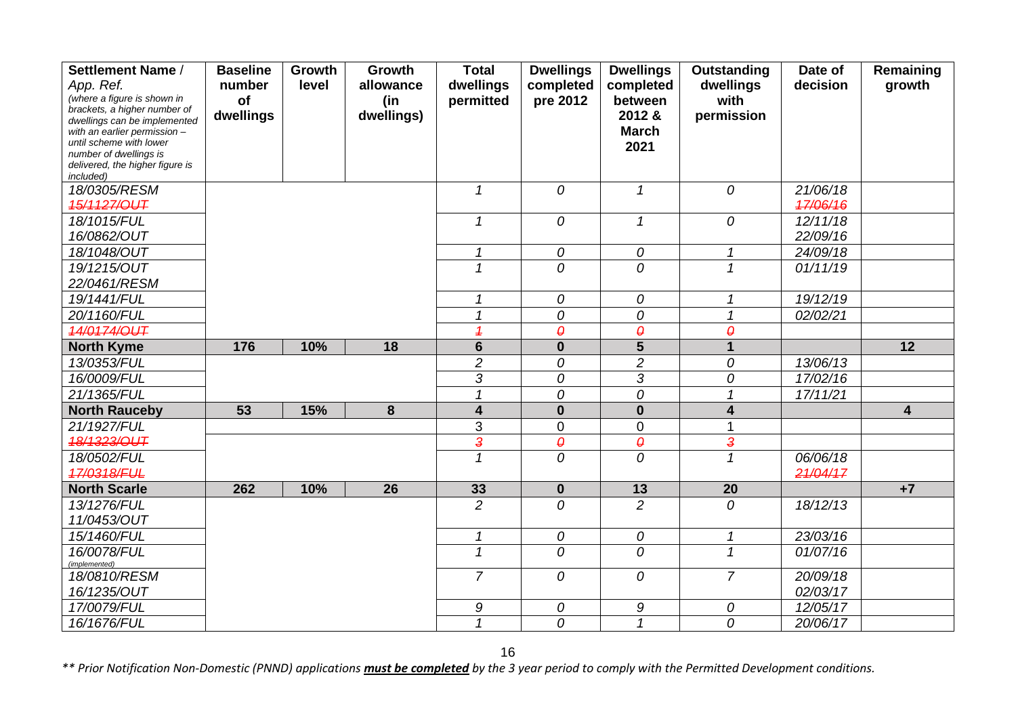| Settlement Name /                                            | <b>Baseline</b> | Growth | <b>Growth</b> | <b>Total</b>             | <b>Dwellings</b>      | <b>Dwellings</b>           | Outstanding             | Date of  | Remaining               |
|--------------------------------------------------------------|-----------------|--------|---------------|--------------------------|-----------------------|----------------------------|-------------------------|----------|-------------------------|
| App. Ref.                                                    | number          | level  | allowance     | dwellings                | completed             | completed                  | dwellings               | decision | growth                  |
| (where a figure is shown in                                  | of              |        | (in           | permitted                | pre 2012              | between                    | with                    |          |                         |
| brackets, a higher number of<br>dwellings can be implemented | dwellings       |        | dwellings)    |                          |                       | 2012 &                     | permission              |          |                         |
| with an earlier permission -                                 |                 |        |               |                          |                       | <b>March</b>               |                         |          |                         |
| until scheme with lower                                      |                 |        |               |                          |                       | 2021                       |                         |          |                         |
| number of dwellings is<br>delivered, the higher figure is    |                 |        |               |                          |                       |                            |                         |          |                         |
| included)                                                    |                 |        |               |                          |                       |                            |                         |          |                         |
| 18/0305/RESM                                                 |                 |        |               | $\mathcal I$             | 0                     | $\mathcal I$               | 0                       | 21/06/18 |                         |
| 15/1127/OUT                                                  |                 |        |               |                          |                       |                            |                         | 47/06/16 |                         |
| 18/1015/FUL                                                  |                 |        |               | $\mathcal I$             | 0                     | $\boldsymbol{\mathcal{L}}$ | 0                       | 12/11/18 |                         |
| 16/0862/OUT                                                  |                 |        |               |                          |                       |                            |                         | 22/09/16 |                         |
| 18/1048/OUT                                                  |                 |        |               | 1                        | $\boldsymbol{O}$      | 0                          | $\mathcal{I}$           | 24/09/18 |                         |
| 19/1215/OUT                                                  |                 |        |               | 1                        | $\overline{O}$        | $\overline{0}$             | $\overline{1}$          | 01/11/19 |                         |
| 22/0461/RESM                                                 |                 |        |               |                          |                       |                            |                         |          |                         |
| 19/1441/FUL                                                  |                 |        |               | $\mathbf{1}$             | 0                     | 0                          | $\mathbf{1}$            | 19/12/19 |                         |
| 20/1160/FUL                                                  |                 |        |               |                          | 0                     | 0                          | 1                       | 02/02/21 |                         |
| 14/0174/OUT                                                  |                 |        |               | $\overline{\mathcal{L}}$ | $\boldsymbol{\theta}$ | $\pmb{\theta}$             | $\theta$                |          |                         |
| <b>North Kyme</b>                                            | 176             | 10%    | 18            | $6\phantom{1}$           | $\bf{0}$              | 5                          | $\mathbf{1}$            |          | 12                      |
| 13/0353/FUL                                                  |                 |        |               | $\overline{2}$           | 0                     | $\overline{c}$             | 0                       | 13/06/13 |                         |
| 16/0009/FUL                                                  |                 |        |               | 3                        | 0                     | 3                          | 0                       | 17/02/16 |                         |
| 21/1365/FUL                                                  |                 |        |               | $\mathbf{1}$             | 0                     | 0                          | $\mathbf 1$             | 17/11/21 |                         |
| <b>North Rauceby</b>                                         | 53              | 15%    | $\bf{8}$      | $\overline{\mathbf{4}}$  | $\mathbf 0$           | $\mathbf 0$                | 4                       |          | $\overline{\mathbf{4}}$ |
| 21/1927/FUL                                                  |                 |        |               | 3                        | $\overline{0}$        | $\mathbf 0$                |                         |          |                         |
| 18/1323/OUT                                                  |                 |        |               | $\overline{\mathbf{3}}$  | $\pmb{\theta}$        | $\boldsymbol{\theta}$      | $\overline{\mathbf{3}}$ |          |                         |
| 18/0502/FUL                                                  |                 |        |               | $\mathcal{I}$            | 0                     | 0                          | $\overline{1}$          | 06/06/18 |                         |
| 17/0318/FUL                                                  |                 |        |               |                          |                       |                            |                         | 21/04/17 |                         |
| <b>North Scarle</b>                                          | 262             | 10%    | 26            | 33                       | $\mathbf{0}$          | 13                         | 20                      |          | $+7$                    |
| 13/1276/FUL                                                  |                 |        |               | $\overline{2}$           | 0                     | $\overline{2}$             | 0                       | 18/12/13 |                         |
| 11/0453/OUT                                                  |                 |        |               |                          |                       |                            |                         |          |                         |
| 15/1460/FUL                                                  |                 |        |               | $\mathbf{1}$             | $\mathcal O$          | 0                          | $\mathbf{1}$            | 23/03/16 |                         |
| 16/0078/FUL<br>(implemented)                                 |                 |        |               | $\mathcal I$             | 0                     | 0                          | $\mathbf{1}$            | 01/07/16 |                         |
| 18/0810/RESM                                                 |                 |        |               | $\overline{7}$           | 0                     | 0                          | $\overline{7}$          | 20/09/18 |                         |
| 16/1235/OUT                                                  |                 |        |               |                          |                       |                            |                         | 02/03/17 |                         |
| 17/0079/FUL                                                  |                 |        |               | 9                        | 0                     | 9                          | 0                       | 12/05/17 |                         |
| 16/1676/FUL                                                  |                 |        |               | $\mathcal{I}$            | 0                     | $\overline{1}$             | 0                       | 20/06/17 |                         |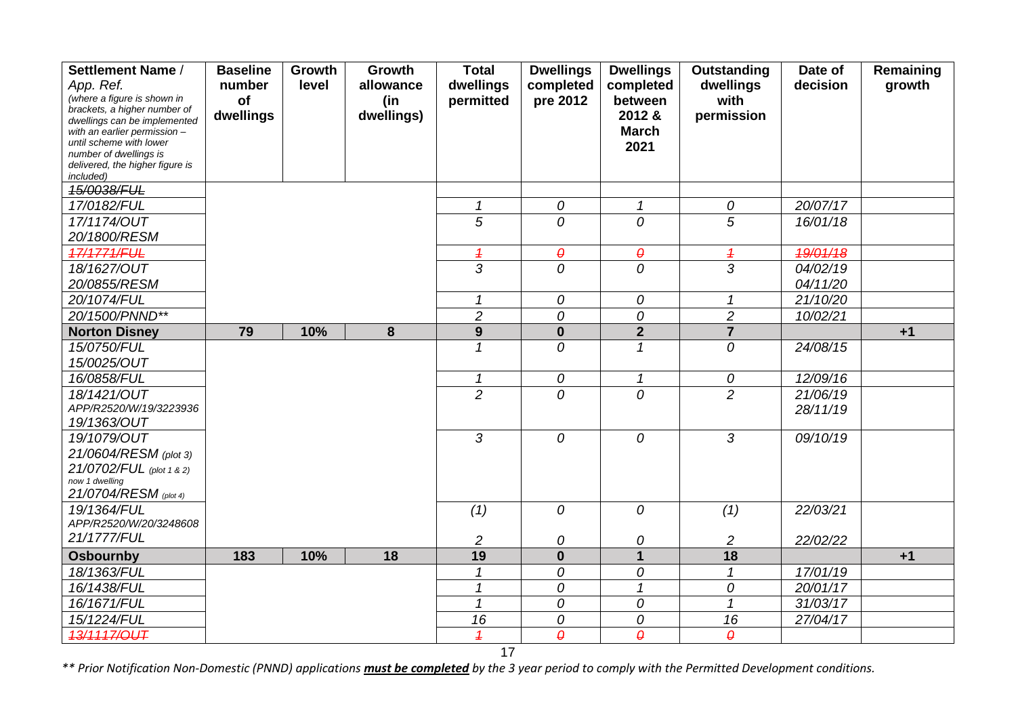| Settlement Name /                                            | <b>Baseline</b> | Growth | Growth     | <b>Total</b>   | <b>Dwellings</b>       | <b>Dwellings</b>           | Outstanding            | Date of  | Remaining |
|--------------------------------------------------------------|-----------------|--------|------------|----------------|------------------------|----------------------------|------------------------|----------|-----------|
| App. Ref.                                                    | number          | level  | allowance  | dwellings      | completed              | completed                  | dwellings              | decision | growth    |
| (where a figure is shown in                                  | of              |        | (in        | permitted      | pre 2012               | between                    | with                   |          |           |
| brackets, a higher number of<br>dwellings can be implemented | dwellings       |        | dwellings) |                |                        | 2012 &                     | permission             |          |           |
| with an earlier permission $-$                               |                 |        |            |                |                        | <b>March</b>               |                        |          |           |
| until scheme with lower                                      |                 |        |            |                |                        | 2021                       |                        |          |           |
| number of dwellings is<br>delivered, the higher figure is    |                 |        |            |                |                        |                            |                        |          |           |
| included)                                                    |                 |        |            |                |                        |                            |                        |          |           |
| 15/0038/FUL                                                  |                 |        |            |                |                        |                            |                        |          |           |
| 17/0182/FUL                                                  |                 |        |            | $\mathbf{1}$   | $\mathcal O$           | $\mathcal I$               | 0                      | 20/07/17 |           |
| 17/1174/OUT                                                  |                 |        |            | $\overline{5}$ | $\overline{O}$         | $\overline{O}$             | $\overline{5}$         | 16/01/18 |           |
| 20/1800/RESM                                                 |                 |        |            |                |                        |                            |                        |          |           |
| 17/1771/FUL                                                  |                 |        |            | $\overline{1}$ | $\boldsymbol{\theta}$  | $\boldsymbol{\theta}$      | $\overline{1}$         | 19/01/18 |           |
| 18/1627/OUT                                                  |                 |        |            | $\overline{3}$ | $\overline{O}$         | 0                          | $\overline{3}$         | 04/02/19 |           |
| 20/0855/RESM                                                 |                 |        |            |                |                        |                            |                        | 04/11/20 |           |
| 20/1074/FUL                                                  |                 |        |            | $\mathcal I$   | $\mathcal O$           | 0                          | $\mathbf{1}$           | 21/10/20 |           |
| 20/1500/PNND**                                               |                 |        |            | $\overline{2}$ | 0                      | 0                          | $\overline{c}$         | 10/02/21 |           |
| <b>Norton Disney</b>                                         | 79              | 10%    | 8          | 9              | $\mathbf 0$            | $\overline{2}$             | $\overline{7}$         |          | $+1$      |
| 15/0750/FUL                                                  |                 |        |            | $\mathbf{1}$   | 0                      | $\mathcal I$               | 0                      | 24/08/15 |           |
| 15/0025/OUT                                                  |                 |        |            |                |                        |                            |                        |          |           |
| 16/0858/FUL                                                  |                 |        |            | $\mathbf{1}$   | ${\cal O}$             | $\mathcal I$               | 0                      | 12/09/16 |           |
| 18/1421/OUT                                                  |                 |        |            | $\overline{2}$ | 0                      | $\overline{O}$             | $\overline{2}$         | 21/06/19 |           |
| APP/R2520/W/19/3223936                                       |                 |        |            |                |                        |                            |                        | 28/11/19 |           |
| 19/1363/OUT                                                  |                 |        |            |                |                        |                            |                        |          |           |
| 19/1079/OUT                                                  |                 |        |            | 3              | 0                      | 0                          | 3                      | 09/10/19 |           |
| 21/0604/RESM (plot 3)                                        |                 |        |            |                |                        |                            |                        |          |           |
| 21/0702/FUL (plot 1 & 2)                                     |                 |        |            |                |                        |                            |                        |          |           |
| now 1 dwelling                                               |                 |        |            |                |                        |                            |                        |          |           |
| 21/0704/RESM (plot 4)                                        |                 |        |            |                |                        |                            |                        |          |           |
| 19/1364/FUL                                                  |                 |        |            | (1)            | 0                      | 0                          | (1)                    | 22/03/21 |           |
| APP/R2520/W/20/3248608                                       |                 |        |            |                |                        |                            |                        |          |           |
| 21/1777/FUL                                                  |                 |        |            | $\overline{c}$ | 0                      | 0                          | $\overline{c}$         | 22/02/22 |           |
| <b>Osbournby</b>                                             | 183             | 10%    | 18         | 19             | $\mathbf 0$            | $\overline{1}$             | 18                     |          | $+1$      |
| 18/1363/FUL                                                  |                 |        |            |                | 0                      | 0                          | 1                      | 17/01/19 |           |
| 16/1438/FUL                                                  |                 |        |            | $\mathcal I$   | 0                      | $\boldsymbol{\mathcal{L}}$ | 0                      | 20/01/17 |           |
| 16/1671/FUL                                                  |                 |        |            | $\mathcal I$   | 0                      | 0                          | $\mathbf{1}$           | 31/03/17 |           |
| 15/1224/FUL                                                  |                 |        |            | 16             | 0                      | 0                          | 16                     | 27/04/17 |           |
| 13/1117/OUT                                                  |                 |        |            | $\overline{1}$ | $\boldsymbol{\varrho}$ | $\boldsymbol{\varrho}$     | $\boldsymbol{\varrho}$ |          |           |

17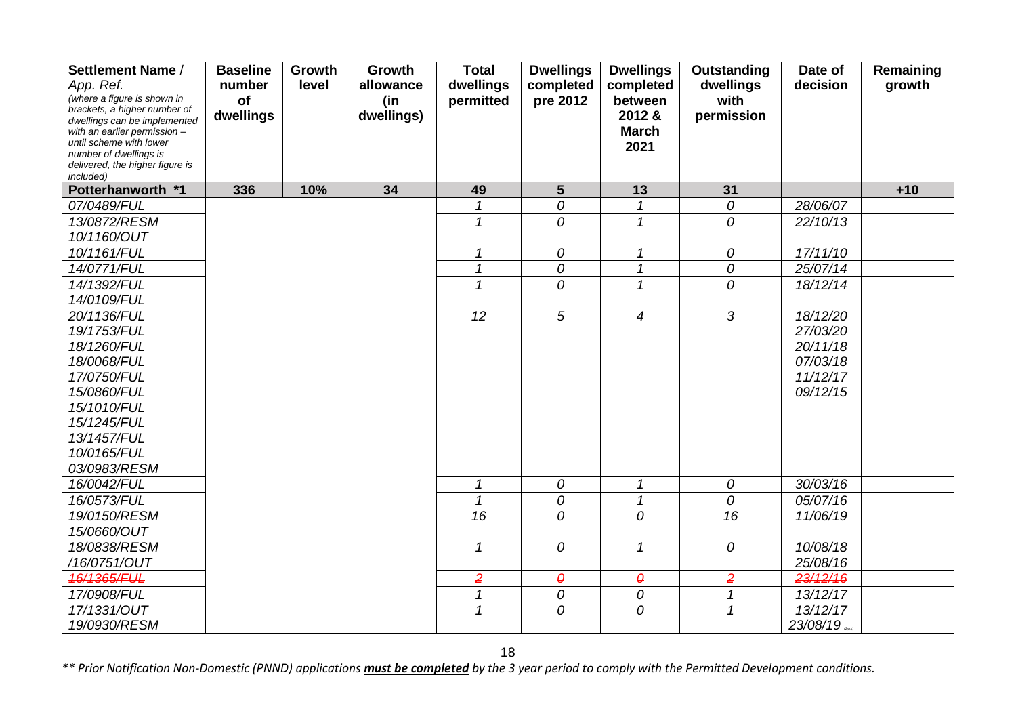| Settlement Name /                                            | <b>Baseline</b> | Growth | Growth     | <b>Total</b>             | <b>Dwellings</b>      | <b>Dwellings</b>           | <b>Outstanding</b>  | Date of  | Remaining |
|--------------------------------------------------------------|-----------------|--------|------------|--------------------------|-----------------------|----------------------------|---------------------|----------|-----------|
| App. Ref.                                                    | number          | level  | allowance  | dwellings                | completed             | completed                  | dwellings           | decision | growth    |
| (where a figure is shown in                                  | of              |        | (in        | permitted                | pre 2012              | between                    | with                |          |           |
| brackets, a higher number of<br>dwellings can be implemented | dwellings       |        | dwellings) |                          |                       | 2012 &                     | permission          |          |           |
| with an earlier permission -                                 |                 |        |            |                          |                       | <b>March</b>               |                     |          |           |
| until scheme with lower                                      |                 |        |            |                          |                       | 2021                       |                     |          |           |
| number of dwellings is<br>delivered, the higher figure is    |                 |        |            |                          |                       |                            |                     |          |           |
| included)                                                    |                 |        |            |                          |                       |                            |                     |          |           |
| Potterhanworth *1                                            | 336             | 10%    | 34         | 49                       | 5 <sup>5</sup>        | 13                         | 31                  |          | $+10$     |
| 07/0489/FUL                                                  |                 |        |            | 1                        | 0                     | $\mathcal I$               | 0                   | 28/06/07 |           |
| 13/0872/RESM                                                 |                 |        |            | 1                        | 0                     | $\mathcal I$               | $\overline{O}$      | 22/10/13 |           |
| 10/1160/OUT                                                  |                 |        |            |                          |                       |                            |                     |          |           |
| 10/1161/FUL                                                  |                 |        |            | $\mathcal I$             | 0                     | $\mathcal I$               | 0                   | 17/11/10 |           |
| 14/0771/FUL                                                  |                 |        |            | $\mathbf{1}$             | 0                     | $\mathbf{1}$               | 0                   | 25/07/14 |           |
| 14/1392/FUL                                                  |                 |        |            | $\overline{1}$           | 0                     | $\mathcal I$               | 0                   | 18/12/14 |           |
| 14/0109/FUL                                                  |                 |        |            |                          |                       |                            |                     |          |           |
| 20/1136/FUL                                                  |                 |        |            | $\overline{12}$          | $\overline{5}$        | $\overline{4}$             | $\overline{3}$      | 18/12/20 |           |
| 19/1753/FUL                                                  |                 |        |            |                          |                       |                            |                     | 27/03/20 |           |
| 18/1260/FUL                                                  |                 |        |            |                          |                       |                            |                     | 20/11/18 |           |
| 18/0068/FUL                                                  |                 |        |            |                          |                       |                            |                     | 07/03/18 |           |
| 17/0750/FUL                                                  |                 |        |            |                          |                       |                            |                     | 11/12/17 |           |
| 15/0860/FUL                                                  |                 |        |            |                          |                       |                            |                     | 09/12/15 |           |
| 15/1010/FUL                                                  |                 |        |            |                          |                       |                            |                     |          |           |
| 15/1245/FUL                                                  |                 |        |            |                          |                       |                            |                     |          |           |
| 13/1457/FUL                                                  |                 |        |            |                          |                       |                            |                     |          |           |
| 10/0165/FUL                                                  |                 |        |            |                          |                       |                            |                     |          |           |
| 03/0983/RESM                                                 |                 |        |            |                          |                       |                            |                     |          |           |
| 16/0042/FUL                                                  |                 |        |            | 1                        | 0                     | $\boldsymbol{\mathcal{L}}$ | 0                   | 30/03/16 |           |
| 16/0573/FUL                                                  |                 |        |            | $\overline{\mathcal{L}}$ | 0                     | $\mathcal I$               | $\overline{\theta}$ | 05/07/16 |           |
| 19/0150/RESM                                                 |                 |        |            | 16                       | 0                     | 0                          | $\overline{16}$     | 11/06/19 |           |
| 15/0660/OUT                                                  |                 |        |            |                          |                       |                            |                     |          |           |
| 18/0838/RESM                                                 |                 |        |            | $\mathcal I$             | $\overline{O}$        | $\mathcal{I}$              | 0                   | 10/08/18 |           |
| /16/0751/OUT                                                 |                 |        |            |                          |                       |                            |                     | 25/08/16 |           |
| 16/1365/FUL                                                  |                 |        |            | $\overline{2}$           | $\boldsymbol{\theta}$ | $\pmb{\theta}$             | $\overline{2}$      | 23/12/16 |           |
| 17/0908/FUL                                                  |                 |        |            | 1                        | 0                     | 0                          | 1                   | 13/12/17 |           |
| 17/1331/OUT                                                  |                 |        |            | $\mathbf{1}$             | 0                     | $\mathcal{O}$              | $\mathbf{1}$        | 13/12/17 |           |
| 19/0930/RESM                                                 |                 |        |            |                          |                       |                            |                     | 23/08/19 |           |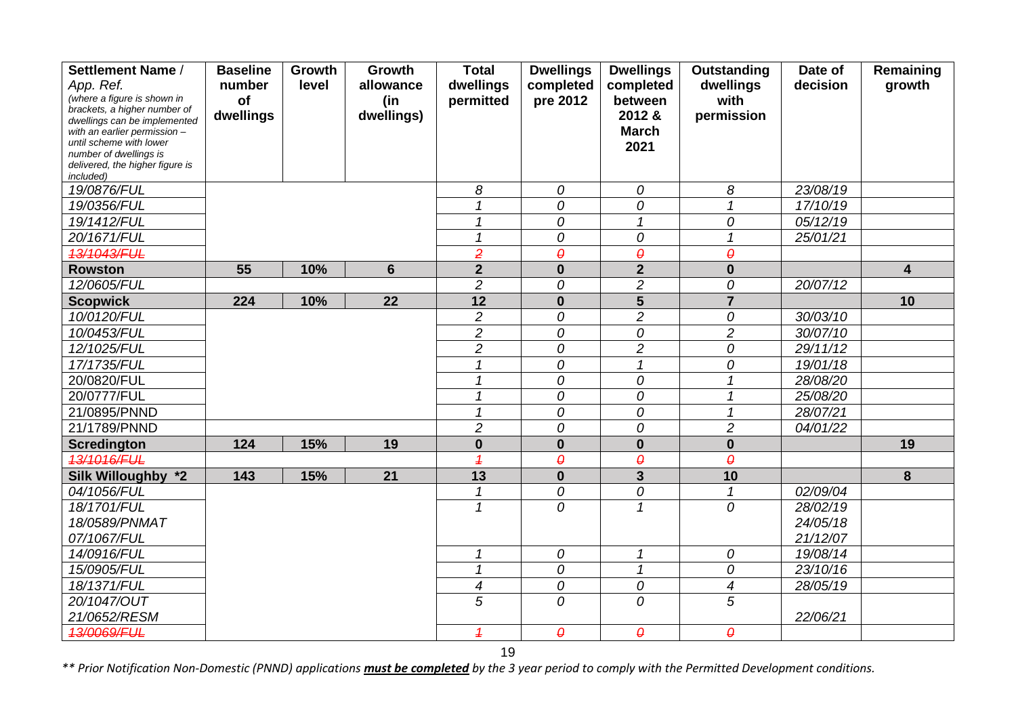| Settlement Name /                                           | <b>Baseline</b> | Growth | Growth          | <b>Total</b>   | <b>Dwellings</b>         | <b>Dwellings</b>           | Outstanding           | Date of  | Remaining               |
|-------------------------------------------------------------|-----------------|--------|-----------------|----------------|--------------------------|----------------------------|-----------------------|----------|-------------------------|
| App. Ref.                                                   | number          | level  | allowance       | dwellings      | completed                | completed                  | dwellings             | decision | growth                  |
| (where a figure is shown in<br>brackets, a higher number of | of              |        | (in             | permitted      | pre 2012                 | between                    | with                  |          |                         |
| dwellings can be implemented                                | dwellings       |        | dwellings)      |                |                          | 2012 &                     | permission            |          |                         |
| with an earlier permission -                                |                 |        |                 |                |                          | <b>March</b>               |                       |          |                         |
| until scheme with lower<br>number of dwellings is           |                 |        |                 |                |                          | 2021                       |                       |          |                         |
| delivered, the higher figure is                             |                 |        |                 |                |                          |                            |                       |          |                         |
| included)                                                   |                 |        |                 |                |                          |                            |                       |          |                         |
| 19/0876/FUL                                                 |                 |        |                 | 8              | 0                        | 0                          | 8                     | 23/08/19 |                         |
| 19/0356/FUL                                                 |                 |        |                 |                | 0                        | 0                          |                       | 17/10/19 |                         |
| 19/1412/FUL                                                 |                 |        |                 | 1              | 0                        | $\mathcal I$               | 0                     | 05/12/19 |                         |
| 20/1671/FUL                                                 |                 |        |                 | 1              | 0                        | 0                          | $\mathbf 1$           | 25/01/21 |                         |
| 13/1043/FUL                                                 |                 |        |                 | $\overline{2}$ | $\theta$                 | $\boldsymbol{\theta}$      | $\boldsymbol{\theta}$ |          |                         |
| <b>Rowston</b>                                              | 55              | 10%    | $6\phantom{1}6$ | $\overline{2}$ | $\bf{0}$                 | $\overline{2}$             | $\mathbf{0}$          |          | $\overline{\mathbf{4}}$ |
| 12/0605/FUL                                                 |                 |        |                 | $\overline{2}$ | 0                        | $\overline{c}$             | 0                     | 20/07/12 |                         |
| <b>Scopwick</b>                                             | 224             | 10%    | 22              | 12             | $\mathbf{0}$             | 5                          | $\overline{7}$        |          | 10                      |
| 10/0120/FUL                                                 |                 |        |                 | $\overline{2}$ | 0                        | $\overline{c}$             | 0                     | 30/03/10 |                         |
| 10/0453/FUL                                                 |                 |        |                 | $\overline{2}$ | 0                        | 0                          | $\overline{2}$        | 30/07/10 |                         |
| 12/1025/FUL                                                 |                 |        |                 | $\overline{c}$ | 0                        | $\overline{c}$             | 0                     | 29/11/12 |                         |
| 17/1735/FUL                                                 |                 |        |                 | 1              | 0                        | $\mathcal I$               | 0                     | 19/01/18 |                         |
| 20/0820/FUL                                                 |                 |        |                 | $\mathcal I$   | 0                        | 0                          | $\mathcal I$          | 28/08/20 |                         |
| 20/0777/FUL                                                 |                 |        |                 | 1              | 0                        | 0                          | 1                     | 25/08/20 |                         |
| 21/0895/PNND                                                |                 |        |                 | 1              | 0                        | 0                          | 1                     | 28/07/21 |                         |
| 21/1789/PNND                                                |                 |        |                 | $\overline{2}$ | 0                        | 0                          | $\overline{c}$        | 04/01/22 |                         |
| <b>Scredington</b>                                          | 124             | 15%    | 19              | $\bf{0}$       | $\bf{0}$                 | $\mathbf 0$                | $\mathbf 0$           |          | 19                      |
| 13/1016/FUL                                                 |                 |        |                 | $\overline{1}$ | $\theta$                 | $\boldsymbol{\theta}$      | $\theta$              |          |                         |
| Silk Willoughby *2                                          | 143             | 15%    | 21              | 13             | $\bf{0}$                 | $\overline{3}$             | 10                    |          | 8                       |
| 04/1056/FUL                                                 |                 |        |                 | 1              | 0                        | 0                          | 1                     | 02/09/04 |                         |
| 18/1701/FUL                                                 |                 |        |                 | 1              | 0                        | 1                          | 0                     | 28/02/19 |                         |
| 18/0589/PNMAT                                               |                 |        |                 |                |                          |                            |                       | 24/05/18 |                         |
| 07/1067/FUL                                                 |                 |        |                 |                |                          |                            |                       | 21/12/07 |                         |
| 14/0916/FUL                                                 |                 |        |                 | 1              | 0                        | $\boldsymbol{\mathcal{L}}$ | 0                     | 19/08/14 |                         |
| 15/0905/FUL                                                 |                 |        |                 | $\mathcal I$   | 0                        | $\boldsymbol{\mathcal{L}}$ | 0                     | 23/10/16 |                         |
| 18/1371/FUL                                                 |                 |        |                 | $\overline{4}$ | 0                        | 0                          | 4                     | 28/05/19 |                         |
| 20/1047/OUT                                                 |                 |        |                 | 5              | 0                        | 0                          | 5                     |          |                         |
| 21/0652/RESM                                                |                 |        |                 |                |                          |                            |                       | 22/06/21 |                         |
| 13/0069/FUL                                                 |                 |        |                 | $\overline{1}$ | $\boldsymbol{\varTheta}$ | $\pmb{\theta}$             | $\boldsymbol{\theta}$ |          |                         |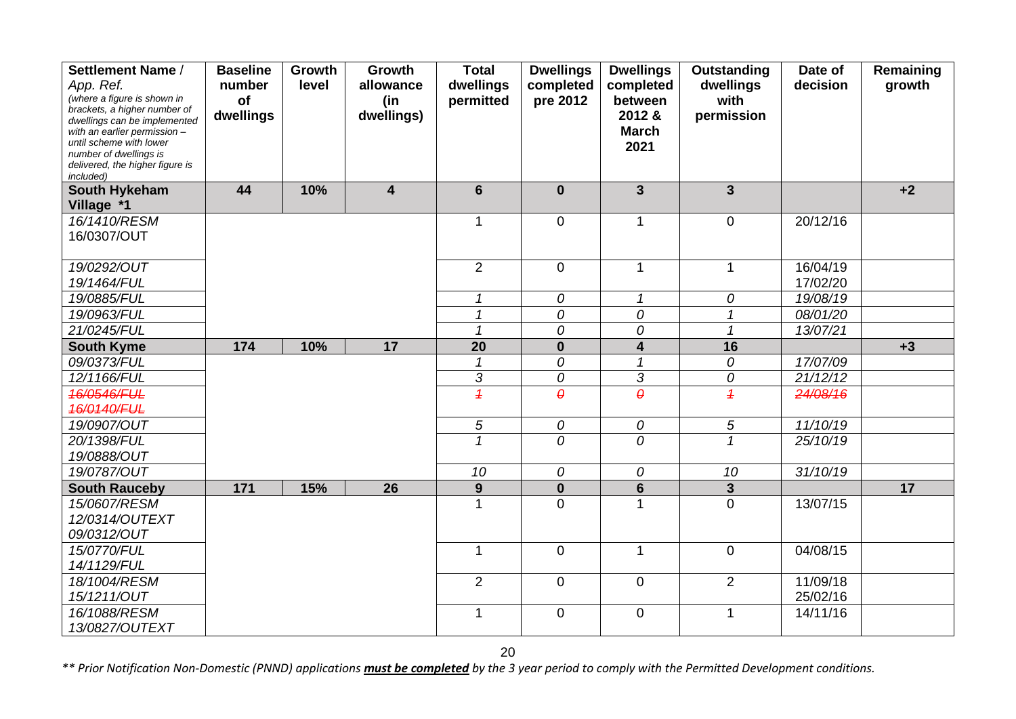| Settlement Name /                                           | <b>Baseline</b> | Growth | Growth                  | Total           | <b>Dwellings</b> | <b>Dwellings</b>    | Outstanding    | Date of  | Remaining |
|-------------------------------------------------------------|-----------------|--------|-------------------------|-----------------|------------------|---------------------|----------------|----------|-----------|
| App. Ref.                                                   | number          | level  | allowance               | dwellings       | completed        | completed           | dwellings      | decision | growth    |
| (where a figure is shown in<br>brackets, a higher number of | of              |        | (in                     | permitted       | pre 2012         | between             | with           |          |           |
| dwellings can be implemented                                | dwellings       |        | dwellings)              |                 |                  | 2012 &              | permission     |          |           |
| with an earlier permission -                                |                 |        |                         |                 |                  | <b>March</b>        |                |          |           |
| until scheme with lower<br>number of dwellings is           |                 |        |                         |                 |                  | 2021                |                |          |           |
| delivered, the higher figure is                             |                 |        |                         |                 |                  |                     |                |          |           |
| included)                                                   |                 |        |                         |                 |                  |                     |                |          |           |
| South Hykeham                                               | 44              | 10%    | $\overline{\mathbf{4}}$ | $6\phantom{1}$  | $\bf{0}$         | $\overline{3}$      | $\overline{3}$ |          | $+2$      |
| Village *1                                                  |                 |        |                         |                 |                  |                     |                |          |           |
| 16/1410/RESM                                                |                 |        |                         | 1               | $\overline{0}$   | $\mathbf{1}$        | $\overline{0}$ | 20/12/16 |           |
| 16/0307/OUT                                                 |                 |        |                         |                 |                  |                     |                |          |           |
|                                                             |                 |        |                         |                 |                  |                     |                |          |           |
| 19/0292/OUT                                                 |                 |        |                         | $\overline{2}$  | $\overline{0}$   | $\mathbf{1}$        | $\mathbf{1}$   | 16/04/19 |           |
| 19/1464/FUL                                                 |                 |        |                         |                 |                  |                     |                | 17/02/20 |           |
| 19/0885/FUL                                                 |                 |        |                         | 1               | 0                | $\mathcal I$        | 0              | 19/08/19 |           |
| 19/0963/FUL                                                 |                 |        |                         | $\overline{1}$  | 0                | 0                   | $\mathbf{1}$   | 08/01/20 |           |
| 21/0245/FUL                                                 |                 |        |                         |                 | 0                | 0                   | $\overline{1}$ | 13/07/21 |           |
| <b>South Kyme</b>                                           | 174             | 10%    | 17                      | $\overline{20}$ | $\bf{0}$         | 4                   | 16             |          | $+3$      |
| 09/0373/FUL                                                 |                 |        |                         | 1               | 0                | $\overline{1}$      | 0              | 17/07/09 |           |
| 12/1166/FUL                                                 |                 |        |                         | 3               | 0                | $\overline{3}$      | ${\cal O}$     | 21/12/12 |           |
| 16/0546/FUL                                                 |                 |        |                         | $\overline{1}$  | $\theta$         | $\overline{\theta}$ | $\overline{1}$ | 24/08/16 |           |
| 16/0140/FUL                                                 |                 |        |                         |                 |                  |                     |                |          |           |
| 19/0907/OUT                                                 |                 |        |                         | $\sqrt{5}$      | 0                | 0                   | 5              | 11/10/19 |           |
| 20/1398/FUL                                                 |                 |        |                         |                 | $\Omega$         | 0                   | $\overline{1}$ | 25/10/19 |           |
| 19/0888/OUT                                                 |                 |        |                         |                 |                  |                     |                |          |           |
| 19/0787/OUT                                                 |                 |        |                         | 10              | 0                | 0                   | 10             | 31/10/19 |           |
| <b>South Rauceby</b>                                        | 171             | 15%    | 26                      | 9               | $\bf{0}$         | 6                   | $\mathbf{3}$   |          | 17        |
| 15/0607/RESM                                                |                 |        |                         |                 | $\overline{0}$   | 1                   | $\overline{0}$ | 13/07/15 |           |
| 12/0314/OUTEXT                                              |                 |        |                         |                 |                  |                     |                |          |           |
| 09/0312/OUT                                                 |                 |        |                         |                 |                  |                     |                |          |           |
| 15/0770/FUL                                                 |                 |        |                         | $\mathbf 1$     | $\overline{0}$   | $\mathbf 1$         | $\mathbf 0$    | 04/08/15 |           |
| 14/1129/FUL                                                 |                 |        |                         |                 |                  |                     |                |          |           |
| 18/1004/RESM                                                |                 |        |                         | $\overline{2}$  | $\mathbf 0$      | $\pmb{0}$           | $\overline{2}$ | 11/09/18 |           |
| 15/1211/OUT                                                 |                 |        |                         |                 |                  |                     |                | 25/02/16 |           |
| 16/1088/RESM                                                |                 |        |                         | $\mathbf 1$     | $\mathbf 0$      | $\pmb{0}$           | 1              | 14/11/16 |           |
| 13/0827/OUTEXT                                              |                 |        |                         |                 |                  |                     |                |          |           |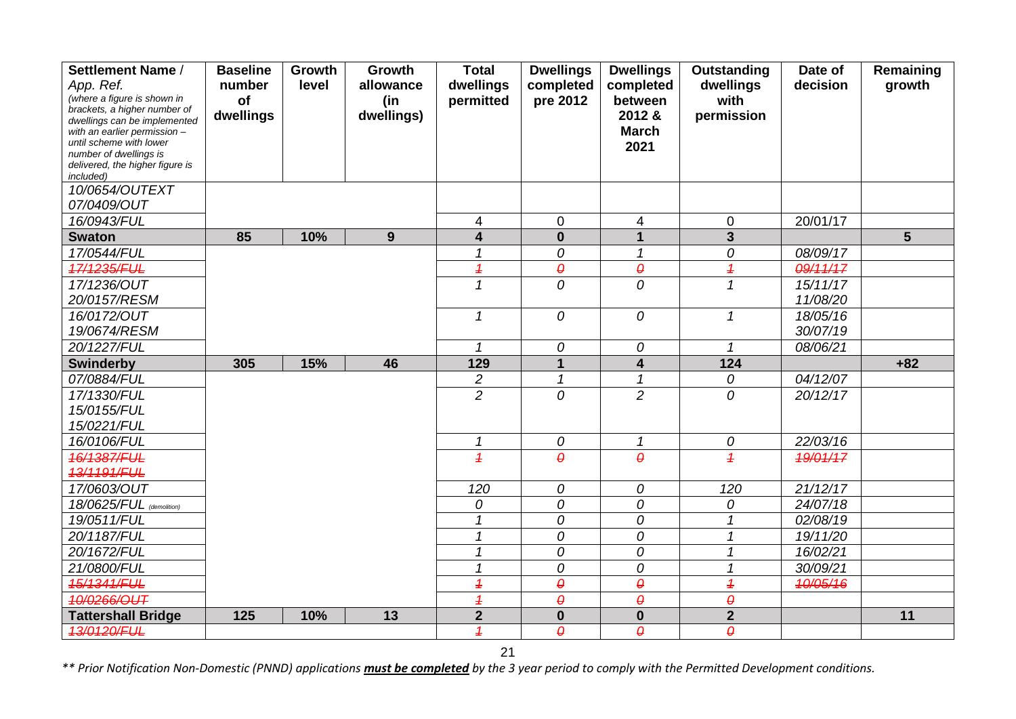| Settlement Name /                                            | <b>Baseline</b> | Growth | Growth     | <b>Total</b>             | <b>Dwellings</b>       | <b>Dwellings</b>           | Outstanding              | Date of  | Remaining      |
|--------------------------------------------------------------|-----------------|--------|------------|--------------------------|------------------------|----------------------------|--------------------------|----------|----------------|
| App. Ref.                                                    | number          | level  | allowance  | dwellings                | completed              | completed                  | dwellings                | decision | growth         |
| (where a figure is shown in                                  | of              |        | (in        | permitted                | pre 2012               | between                    | with                     |          |                |
| brackets, a higher number of<br>dwellings can be implemented | dwellings       |        | dwellings) |                          |                        | 2012 &                     | permission               |          |                |
| with an earlier permission -                                 |                 |        |            |                          |                        | <b>March</b>               |                          |          |                |
| until scheme with lower                                      |                 |        |            |                          |                        | 2021                       |                          |          |                |
| number of dwellings is<br>delivered, the higher figure is    |                 |        |            |                          |                        |                            |                          |          |                |
| included)                                                    |                 |        |            |                          |                        |                            |                          |          |                |
| 10/0654/OUTEXT                                               |                 |        |            |                          |                        |                            |                          |          |                |
| 07/0409/OUT                                                  |                 |        |            |                          |                        |                            |                          |          |                |
| 16/0943/FUL                                                  |                 |        |            | 4                        | $\overline{0}$         | 4                          | $\pmb{0}$                | 20/01/17 |                |
| <b>Swaton</b>                                                | 85              | 10%    | 9          | $\overline{\mathbf{4}}$  | $\bf{0}$               | $\mathbf{1}$               | $\overline{\mathbf{3}}$  |          | $5\phantom{1}$ |
| 17/0544/FUL                                                  |                 |        |            | 1                        | 0                      | 1                          | 0                        | 08/09/17 |                |
| 17/1235/FUL                                                  |                 |        |            | $\overline{\mathcal{L}}$ | $\pmb{\varrho}$        | $\pmb{\varrho}$            | $\overline{\mathcal{L}}$ | 09/11/17 |                |
| 17/1236/OUT                                                  |                 |        |            | 1                        | $\overline{O}$         | $\mathcal{O}$              | $\mathcal I$             | 15/11/17 |                |
| 20/0157/RESM                                                 |                 |        |            |                          |                        |                            |                          | 11/08/20 |                |
| 16/0172/OUT                                                  |                 |        |            | $\mathbf{1}$             | 0                      | 0                          | $\mathbf 1$              | 18/05/16 |                |
| 19/0674/RESM                                                 |                 |        |            |                          |                        |                            |                          | 30/07/19 |                |
| 20/1227/FUL                                                  |                 |        |            | 1                        | 0                      | 0                          | $\mathbf{1}$             | 08/06/21 |                |
| <b>Swinderby</b>                                             | 305             | 15%    | 46         | 129                      |                        | $\overline{\mathbf{4}}$    | 124                      |          | $+82$          |
| 07/0884/FUL                                                  |                 |        |            | $\overline{c}$           | $\mathbf 1$            | $\mathcal I$               | 0                        | 04/12/07 |                |
| 17/1330/FUL                                                  |                 |        |            | $\overline{2}$           | 0                      | $\overline{2}$             | 0                        | 20/12/17 |                |
| 15/0155/FUL                                                  |                 |        |            |                          |                        |                            |                          |          |                |
| 15/0221/FUL                                                  |                 |        |            |                          |                        |                            |                          |          |                |
| 16/0106/FUL                                                  |                 |        |            | $\mathcal I$             | $\boldsymbol{O}$       | $\boldsymbol{\mathcal{L}}$ | ${\cal O}$               | 22/03/16 |                |
| 16/1387/FUL                                                  |                 |        |            | $\overline{1}$           | $\theta$               | $\theta$                   | $\overline{4}$           | 19/01/17 |                |
| 13/1191/FUL                                                  |                 |        |            |                          |                        |                            |                          |          |                |
| 17/0603/OUT                                                  |                 |        |            | 120                      | 0                      | 0                          | 120                      | 21/12/17 |                |
| 18/0625/FUL (demolition)                                     |                 |        |            | 0                        | 0                      | 0                          | 0                        | 24/07/18 |                |
| 19/0511/FUL                                                  |                 |        |            | $\mathcal I$             | 0                      | ${\cal O}$                 | $\mathcal{I}$            | 02/08/19 |                |
| 20/1187/FUL                                                  |                 |        |            | 1                        | 0                      | 0                          | 1                        | 19/11/20 |                |
| 20/1672/FUL                                                  |                 |        |            |                          | 0                      | 0                          |                          | 16/02/21 |                |
| 21/0800/FUL                                                  |                 |        |            | 1                        | 0                      | 0                          |                          | 30/09/21 |                |
| 15/1341/FUL                                                  |                 |        |            | $\overline{\mathcal{L}}$ | $\boldsymbol{\varrho}$ | $\pmb{\varrho}$            | $\overline{\mathcal{L}}$ | 10/05/16 |                |
| 10/0266/OUT                                                  |                 |        |            | $\overline{\mathcal{L}}$ | $\boldsymbol{\theta}$  | $\pmb{\theta}$             | $\pmb{\theta}$           |          |                |
| <b>Tattershall Bridge</b>                                    | 125             | 10%    | 13         | $\overline{2}$           | $\bf{0}$               | $\mathbf 0$                | $\overline{2}$           |          | 11             |
| 13/0120/FUL                                                  |                 |        |            | $\overline{1}$           | $\theta$               | $\theta$                   | $\boldsymbol{\theta}$    |          |                |

21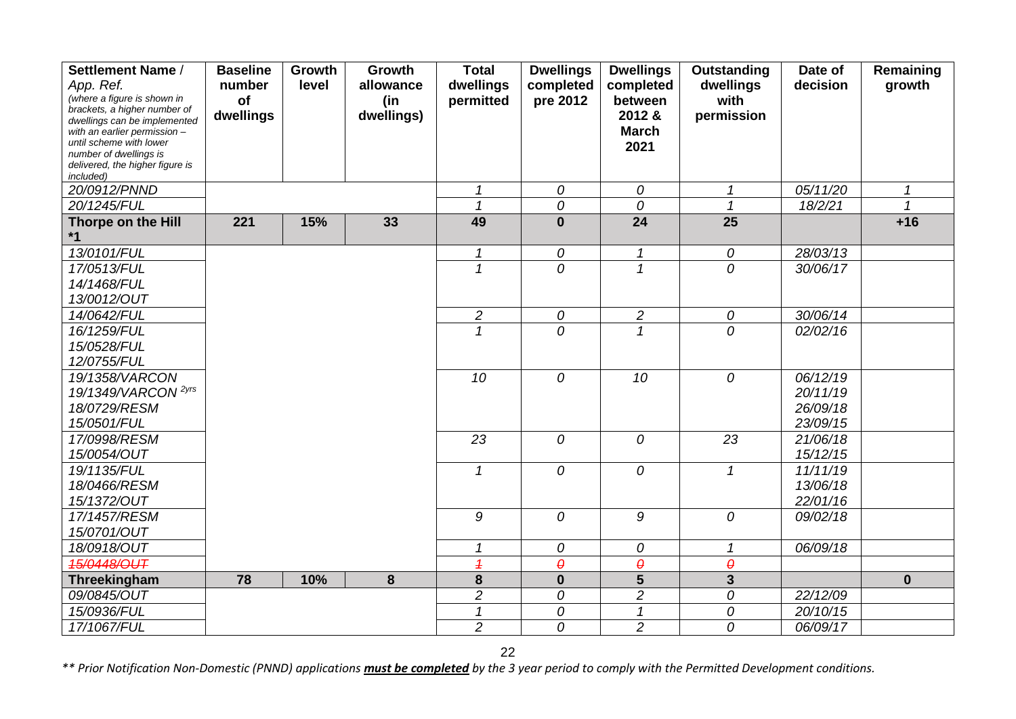| Settlement Name /                                            | <b>Baseline</b> | Growth | Growth     | <b>Total</b>   | <b>Dwellings</b>      | <b>Dwellings</b>           | Outstanding           | Date of               | Remaining    |
|--------------------------------------------------------------|-----------------|--------|------------|----------------|-----------------------|----------------------------|-----------------------|-----------------------|--------------|
| App. Ref.                                                    | number          | level  | allowance  | dwellings      | completed             | completed                  | dwellings             | decision              | growth       |
| (where a figure is shown in                                  | of              |        | (in        | permitted      | pre 2012              | between                    | with                  |                       |              |
| brackets, a higher number of<br>dwellings can be implemented | dwellings       |        | dwellings) |                |                       | 2012 &                     | permission            |                       |              |
| with an earlier permission $-$                               |                 |        |            |                |                       | <b>March</b>               |                       |                       |              |
| until scheme with lower<br>number of dwellings is            |                 |        |            |                |                       | 2021                       |                       |                       |              |
| delivered, the higher figure is                              |                 |        |            |                |                       |                            |                       |                       |              |
| included)                                                    |                 |        |            |                |                       |                            |                       |                       |              |
| 20/0912/PNND                                                 |                 |        |            | $\mathbf 1$    | 0                     | 0                          | $\mathcal{I}$         | $\overline{05}/11/20$ | $\mathbf{1}$ |
| 20/1245/FUL                                                  |                 |        |            | $\mathbf 1$    | 0                     | $\overline{O}$             | $\mathbf{1}$          | 18/2/21               | $\mathbf{1}$ |
| Thorpe on the Hill                                           | 221             | 15%    | 33         | 49             | $\bf{0}$              | 24                         | $\overline{25}$       |                       | $+16$        |
| $*1$                                                         |                 |        |            |                |                       |                            |                       |                       |              |
| 13/0101/FUL                                                  |                 |        |            | 1              | 0                     | $\boldsymbol{\mathcal{L}}$ | 0                     | 28/03/13              |              |
| 17/0513/FUL                                                  |                 |        |            | $\overline{1}$ | 0                     | $\overline{1}$             | 0                     | 30/06/17              |              |
| 14/1468/FUL                                                  |                 |        |            |                |                       |                            |                       |                       |              |
| 13/0012/OUT                                                  |                 |        |            |                |                       |                            |                       |                       |              |
| 14/0642/FUL                                                  |                 |        |            | $\overline{c}$ | 0                     | $\overline{c}$             | 0                     | 30/06/14              |              |
| 16/1259/FUL                                                  |                 |        |            | $\mathbf{1}$   | 0                     | $\mathcal I$               | $\overline{O}$        | 02/02/16              |              |
| 15/0528/FUL                                                  |                 |        |            |                |                       |                            |                       |                       |              |
| 12/0755/FUL                                                  |                 |        |            |                |                       |                            |                       |                       |              |
| 19/1358/VARCON                                               |                 |        |            | 10             | 0                     | 10                         | 0                     | 06/12/19              |              |
| 19/1349/VARCON <sup>2yrs</sup>                               |                 |        |            |                |                       |                            |                       | 20/11/19              |              |
| 18/0729/RESM                                                 |                 |        |            |                |                       |                            |                       | 26/09/18              |              |
| 15/0501/FUL                                                  |                 |        |            |                |                       |                            |                       | 23/09/15              |              |
| 17/0998/RESM                                                 |                 |        |            | 23             | 0                     | 0                          | 23                    | 21/06/18              |              |
| 15/0054/OUT                                                  |                 |        |            |                |                       |                            |                       | 15/12/15              |              |
| 19/1135/FUL                                                  |                 |        |            | 1              | 0                     | 0                          | 1                     | 11/11/19              |              |
| 18/0466/RESM                                                 |                 |        |            |                |                       |                            |                       | 13/06/18              |              |
| 15/1372/OUT                                                  |                 |        |            |                |                       |                            |                       | 22/01/16              |              |
| 17/1457/RESM                                                 |                 |        |            | 9              | 0                     | 9                          | 0                     | 09/02/18              |              |
| 15/0701/OUT                                                  |                 |        |            |                |                       |                            |                       |                       |              |
| 18/0918/OUT                                                  |                 |        |            | 1              | 0                     | 0                          | $\mathcal I$          | 06/09/18              |              |
| 15/0448/OUT                                                  |                 |        |            | $\overline{1}$ | $\boldsymbol{\theta}$ | $\boldsymbol{\theta}$      | $\boldsymbol{\theta}$ |                       |              |
| Threekingham                                                 | 78              | 10%    | $\bf{8}$   | 8              | $\mathbf 0$           | $\overline{5}$             | $\overline{3}$        |                       | $\mathbf{0}$ |
| 09/0845/OUT                                                  |                 |        |            | $\overline{c}$ | 0                     | $\overline{c}$             | 0                     | 22/12/09              |              |
| 15/0936/FUL                                                  |                 |        |            | $\mathcal I$   | 0                     | $\boldsymbol{\mathcal{L}}$ | 0                     | 20/10/15              |              |
| 17/1067/FUL                                                  |                 |        |            | $\overline{2}$ | 0                     | $\overline{2}$             | 0                     | 06/09/17              |              |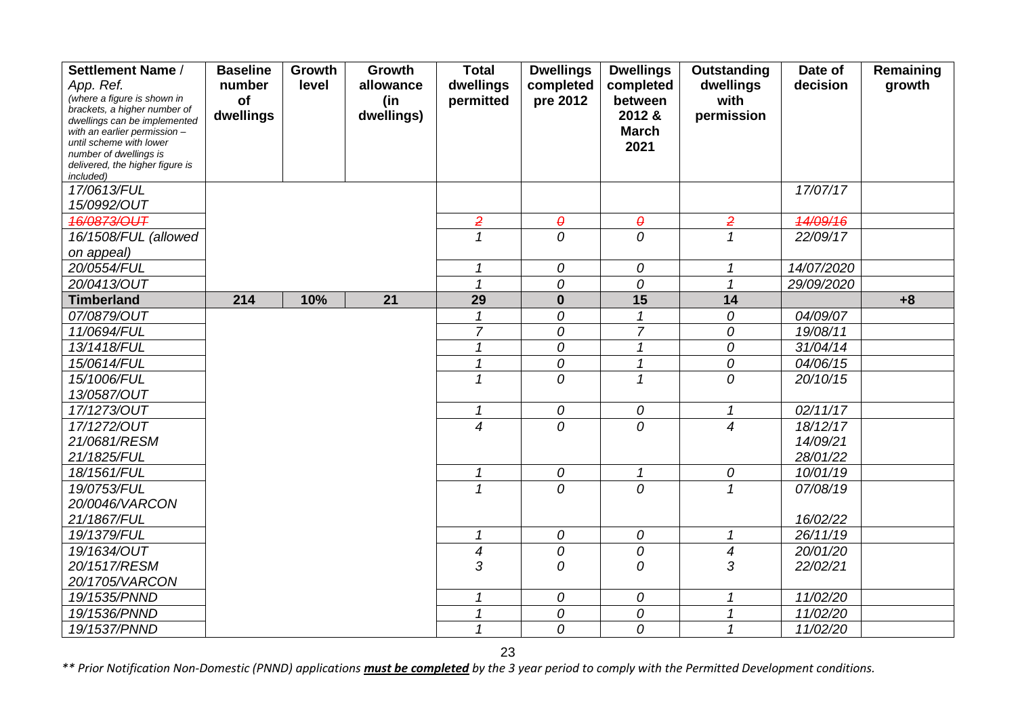| Settlement Name /                                           | <b>Baseline</b> | Growth | Growth          | <b>Total</b>     | <b>Dwellings</b>      | <b>Dwellings</b>           | Outstanding                    | Date of    | Remaining |
|-------------------------------------------------------------|-----------------|--------|-----------------|------------------|-----------------------|----------------------------|--------------------------------|------------|-----------|
| App. Ref.                                                   | number          | level  | allowance       | dwellings        | completed             | completed                  | dwellings                      | decision   | growth    |
| (where a figure is shown in<br>brackets, a higher number of | of              |        | (in             | permitted        | pre 2012              | between                    | with                           |            |           |
| dwellings can be implemented                                | dwellings       |        | dwellings)      |                  |                       | 2012 &                     | permission                     |            |           |
| with an earlier permission -                                |                 |        |                 |                  |                       | <b>March</b>               |                                |            |           |
| until scheme with lower<br>number of dwellings is           |                 |        |                 |                  |                       | 2021                       |                                |            |           |
| delivered, the higher figure is                             |                 |        |                 |                  |                       |                            |                                |            |           |
| included)                                                   |                 |        |                 |                  |                       |                            |                                |            |           |
| 17/0613/FUL                                                 |                 |        |                 |                  |                       |                            |                                | 17/07/17   |           |
| 15/0992/OUT                                                 |                 |        |                 |                  |                       |                            |                                |            |           |
| 46/0873/OUT                                                 |                 |        |                 | $\overline{2}$   | $\boldsymbol{\theta}$ | $\boldsymbol{\theta}$      | $\overline{2}$                 | 14/09/16   |           |
| 16/1508/FUL (allowed                                        |                 |        |                 | $\mathbf 1$      | $\overline{O}$        | $\overline{O}$             | $\mathcal I$                   | 22/09/17   |           |
| on appeal)                                                  |                 |        |                 | 1                |                       |                            |                                |            |           |
| 20/0554/FUL                                                 |                 |        |                 |                  | 0                     | 0                          | $\mathcal I$<br>$\overline{1}$ | 14/07/2020 |           |
| 20/0413/OUT                                                 |                 |        |                 |                  | 0                     | 0                          |                                | 29/09/2020 |           |
| <b>Timberland</b>                                           | 214             | 10%    | $\overline{21}$ | 29               | $\bf{0}$              | 15                         | 14                             |            | $+8$      |
| 07/0879/OUT                                                 |                 |        |                 | $\mathcal I$     | 0                     | $\mathcal I$               | 0                              | 04/09/07   |           |
| 11/0694/FUL                                                 |                 |        |                 | $\overline{7}$   | 0                     | $\overline{7}$             | 0                              | 19/08/11   |           |
| 13/1418/FUL                                                 |                 |        |                 | $\overline{1}$   | 0                     | $\overline{1}$             | 0                              | 31/04/14   |           |
| 15/0614/FUL                                                 |                 |        |                 |                  | 0                     | $\overline{1}$             | $\overline{\theta}$            | 04/06/15   |           |
| 15/1006/FUL                                                 |                 |        |                 | 1                | $\overline{O}$        | $\mathcal I$               | 0                              | 20/10/15   |           |
| 13/0587/OUT                                                 |                 |        |                 |                  |                       |                            |                                |            |           |
| 17/1273/OUT                                                 |                 |        |                 | 1                | ${\cal O}$            | 0                          | $\mathbf{1}$                   | 02/11/17   |           |
| 17/1272/OUT                                                 |                 |        |                 | 4                | $\overline{O}$        | $\mathcal{O}$              | $\overline{4}$                 | 18/12/17   |           |
| 21/0681/RESM                                                |                 |        |                 |                  |                       |                            |                                | 14/09/21   |           |
| 21/1825/FUL                                                 |                 |        |                 |                  |                       |                            |                                | 28/01/22   |           |
| 18/1561/FUL                                                 |                 |        |                 | 1                | $\boldsymbol{O}$      | $\boldsymbol{\mathcal{L}}$ | 0                              | 10/01/19   |           |
| 19/0753/FUL                                                 |                 |        |                 | 1                | 0                     | $\overline{O}$             | $\mathcal I$                   | 07/08/19   |           |
| 20/0046/VARCON                                              |                 |        |                 |                  |                       |                            |                                |            |           |
| 21/1867/FUL                                                 |                 |        |                 |                  |                       |                            |                                | 16/02/22   |           |
| 19/1379/FUL                                                 |                 |        |                 |                  | 0                     | 0                          | 1                              | 26/11/19   |           |
| 19/1634/OUT                                                 |                 |        |                 | $\boldsymbol{4}$ | 0                     | 0                          | $\boldsymbol{4}$               | 20/01/20   |           |
| 20/1517/RESM                                                |                 |        |                 | 3                | 0                     | 0                          | 3                              | 22/02/21   |           |
| 20/1705/VARCON                                              |                 |        |                 |                  |                       |                            |                                |            |           |
| 19/1535/PNND                                                |                 |        |                 | 1                | 0                     | 0                          | 1                              | 11/02/20   |           |
| 19/1536/PNND                                                |                 |        |                 | 1                | 0                     | 0                          | 1                              | 11/02/20   |           |
| 19/1537/PNND                                                |                 |        |                 | 1                | 0                     | 0                          | 1                              | 11/02/20   |           |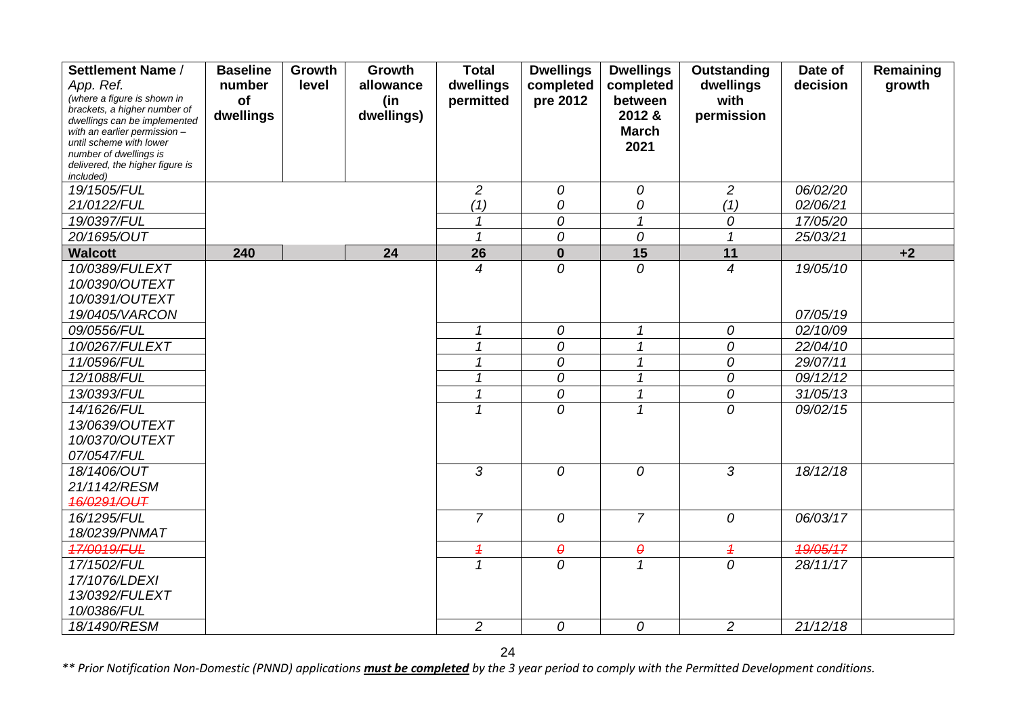| Settlement Name /                                            | <b>Baseline</b> | Growth | Growth     | <b>Total</b>             | <b>Dwellings</b>      | <b>Dwellings</b>      | Outstanding    | Date of  | Remaining |
|--------------------------------------------------------------|-----------------|--------|------------|--------------------------|-----------------------|-----------------------|----------------|----------|-----------|
| App. Ref.                                                    | number          | level  | allowance  | dwellings                | completed             | completed             | dwellings      | decision | growth    |
| (where a figure is shown in                                  | of              |        | (in        | permitted                | pre 2012              | between               | with           |          |           |
| brackets, a higher number of<br>dwellings can be implemented | dwellings       |        | dwellings) |                          |                       | 2012 &                | permission     |          |           |
| with an earlier permission -                                 |                 |        |            |                          |                       | <b>March</b>          |                |          |           |
| until scheme with lower<br>number of dwellings is            |                 |        |            |                          |                       | 2021                  |                |          |           |
| delivered, the higher figure is                              |                 |        |            |                          |                       |                       |                |          |           |
| included)                                                    |                 |        |            |                          |                       |                       |                |          |           |
| 19/1505/FUL                                                  |                 |        |            | 2                        | 0                     | 0                     | 2              | 06/02/20 |           |
| 21/0122/FUL                                                  |                 |        |            | (1)                      | 0                     | 0                     | (1)            | 02/06/21 |           |
| 19/0397/FUL                                                  |                 |        |            | 1                        | 0                     | $\mathcal{I}$         | 0              | 17/05/20 |           |
| 20/1695/OUT                                                  |                 |        |            | 1                        | 0                     | 0                     | $\mathbf{1}$   | 25/03/21 |           |
| <b>Walcott</b>                                               | 240             |        | 24         | 26                       | $\mathbf{0}$          | $\overline{15}$       | 11             |          | $+2$      |
| 10/0389/FULEXT                                               |                 |        |            | $\boldsymbol{4}$         | 0                     | $\overline{O}$        | $\overline{4}$ | 19/05/10 |           |
| 10/0390/OUTEXT                                               |                 |        |            |                          |                       |                       |                |          |           |
| 10/0391/OUTEXT                                               |                 |        |            |                          |                       |                       |                |          |           |
| 19/0405/VARCON                                               |                 |        |            |                          |                       |                       |                | 07/05/19 |           |
| 09/0556/FUL                                                  |                 |        |            | 1                        | $\overline{O}$        | $\mathcal I$          | 0              | 02/10/09 |           |
| 10/0267/FULEXT                                               |                 |        |            | 1                        | 0                     | $\mathcal I$          | 0              | 22/04/10 |           |
| 11/0596/FUL                                                  |                 |        |            | 1                        | 0                     | $\mathcal I$          | 0              | 29/07/11 |           |
| 12/1088/FUL                                                  |                 |        |            |                          | 0                     | 1                     | 0              | 09/12/12 |           |
| 13/0393/FUL                                                  |                 |        |            | 1                        | 0                     | $\mathbf{1}$          | 0              | 31/05/13 |           |
| 14/1626/FUL                                                  |                 |        |            |                          | 0                     | 1                     | $\overline{O}$ | 09/02/15 |           |
| 13/0639/OUTEXT                                               |                 |        |            |                          |                       |                       |                |          |           |
| 10/0370/OUTEXT                                               |                 |        |            |                          |                       |                       |                |          |           |
| 07/0547/FUL                                                  |                 |        |            |                          |                       |                       |                |          |           |
| 18/1406/OUT                                                  |                 |        |            | 3                        | $\overline{O}$        | $\overline{O}$        | 3              | 18/12/18 |           |
| 21/1142/RESM                                                 |                 |        |            |                          |                       |                       |                |          |           |
| 46/0291/OUT                                                  |                 |        |            |                          |                       |                       |                |          |           |
| 16/1295/FUL                                                  |                 |        |            | $\overline{7}$           | 0                     | $\overline{7}$        | 0              | 06/03/17 |           |
| 18/0239/PNMAT                                                |                 |        |            |                          |                       |                       |                |          |           |
| 17/0019/FUL                                                  |                 |        |            | $\overline{\mathcal{L}}$ | $\boldsymbol{\theta}$ | $\boldsymbol{\theta}$ | $\overline{1}$ | 19/05/17 |           |
| 17/1502/FUL                                                  |                 |        |            | $\mathcal I$             | $\overline{O}$        | $\mathcal I$          | $\overline{O}$ | 28/11/17 |           |
| 17/1076/LDEXI                                                |                 |        |            |                          |                       |                       |                |          |           |
| 13/0392/FULEXT                                               |                 |        |            |                          |                       |                       |                |          |           |
| 10/0386/FUL                                                  |                 |        |            |                          |                       |                       |                |          |           |
| 18/1490/RESM                                                 |                 |        |            | $\overline{c}$           | 0                     | 0                     | $\overline{c}$ | 21/12/18 |           |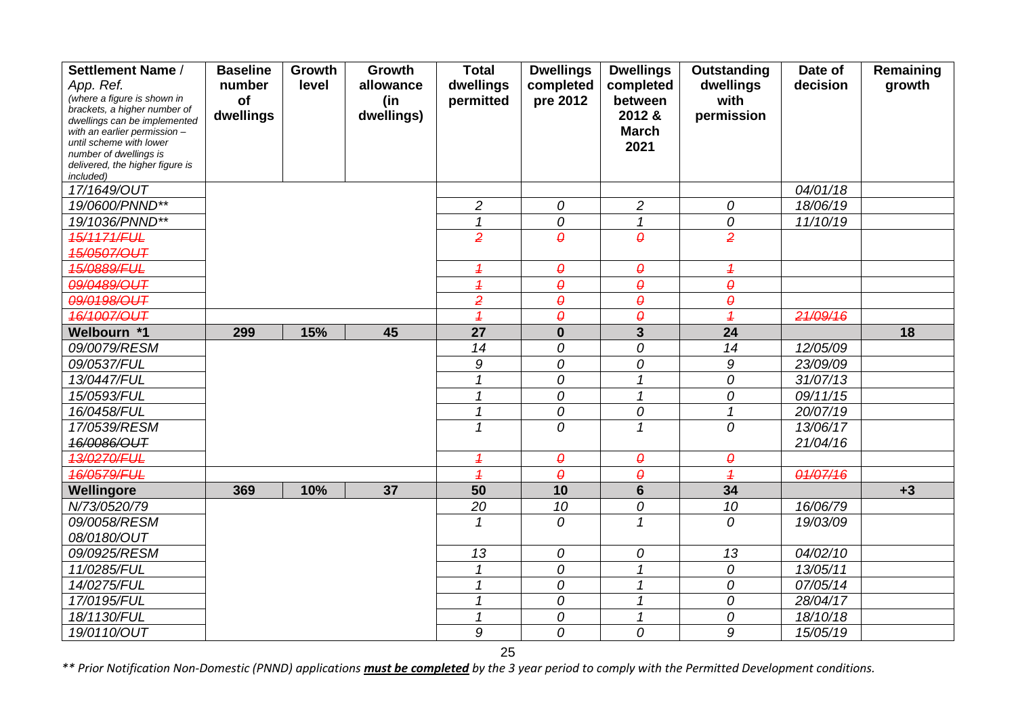| Settlement Name /                                            | <b>Baseline</b> | Growth | Growth          | <b>Total</b>             | <b>Dwellings</b>       | <b>Dwellings</b>           | Outstanding              | Date of  | Remaining |
|--------------------------------------------------------------|-----------------|--------|-----------------|--------------------------|------------------------|----------------------------|--------------------------|----------|-----------|
| App. Ref.                                                    | number          | level  | allowance       | dwellings                | completed              | completed                  | dwellings                | decision | growth    |
| (where a figure is shown in                                  | of              |        | (in             | permitted                | pre 2012               | between                    | with                     |          |           |
| brackets, a higher number of<br>dwellings can be implemented | dwellings       |        | dwellings)      |                          |                        | 2012 &                     | permission               |          |           |
| with an earlier permission -                                 |                 |        |                 |                          |                        | <b>March</b>               |                          |          |           |
| until scheme with lower                                      |                 |        |                 |                          |                        | 2021                       |                          |          |           |
| number of dwellings is<br>delivered, the higher figure is    |                 |        |                 |                          |                        |                            |                          |          |           |
| included)                                                    |                 |        |                 |                          |                        |                            |                          |          |           |
| 17/1649/OUT                                                  |                 |        |                 |                          |                        |                            |                          | 04/01/18 |           |
| 19/0600/PNND**                                               |                 |        |                 | $\overline{c}$           | 0                      | $\overline{c}$             | 0                        | 18/06/19 |           |
| 19/1036/PNND**                                               |                 |        |                 | $\mathcal I$             | 0                      | $\mathcal I$               | 0                        | 11/10/19 |           |
| 15/1171/FUL                                                  |                 |        |                 | $\overline{2}$           | $\boldsymbol{\theta}$  | $\theta$                   | $\overline{2}$           |          |           |
| 15/0507/OUT                                                  |                 |        |                 |                          |                        |                            |                          |          |           |
| 15/0889/FUL                                                  |                 |        |                 | $\overline{1}$           | $\boldsymbol{\varrho}$ | $\pmb{\varrho}$            | $\overline{1}$           |          |           |
| 09/0489/OUT                                                  |                 |        |                 | $\overline{\mathcal{L}}$ | $\boldsymbol{\theta}$  | $\boldsymbol{\theta}$      | $\theta$                 |          |           |
| 09/0198/OUT                                                  |                 |        |                 | $\overline{2}$           | $\boldsymbol{\theta}$  | $\pmb{\theta}$             | $\theta$                 |          |           |
| 16/1007/OUT                                                  |                 |        |                 | $\overline{1}$           | $\boldsymbol{\theta}$  | $\boldsymbol{\varrho}$     | $\overline{\mathbf{1}}$  | 21/09/16 |           |
| Welbourn *1                                                  | 299             | 15%    | 45              | $\overline{27}$          | $\mathbf 0$            | $\overline{\mathbf{3}}$    | 24                       |          | 18        |
| 09/0079/RESM                                                 |                 |        |                 | 14                       | 0                      | 0                          | 14                       | 12/05/09 |           |
| 09/0537/FUL                                                  |                 |        |                 | 9                        | 0                      | 0                          | $\boldsymbol{9}$         | 23/09/09 |           |
| 13/0447/FUL                                                  |                 |        |                 | 1                        | 0                      | $\mathcal I$               | 0                        | 31/07/13 |           |
| 15/0593/FUL                                                  |                 |        |                 | 1                        | 0                      | $\mathbf{1}$               | 0                        | 09/11/15 |           |
| 16/0458/FUL                                                  |                 |        |                 | $\overline{\mathcal{L}}$ | 0                      | 0                          | $\overline{\mathcal{L}}$ | 20/07/19 |           |
| 17/0539/RESM                                                 |                 |        |                 | 1                        | 0                      | $\mathcal I$               | 0                        | 13/06/17 |           |
| 16/0086/OUT                                                  |                 |        |                 |                          |                        |                            |                          | 21/04/16 |           |
| 13/0270/FUL                                                  |                 |        |                 | $\overline{\mathcal{L}}$ | $\boldsymbol{\theta}$  | $\pmb{\theta}$             | $\theta$                 |          |           |
| <b>16/0579/FUL</b>                                           |                 |        |                 | $\overline{1}$           | $\theta$               | $\boldsymbol{\theta}$      | $\overline{1}$           | 01/07/16 |           |
| Wellingore                                                   | 369             | 10%    | $\overline{37}$ | $\overline{50}$          | 10                     | $6\phantom{1}$             | $\overline{34}$          |          | $+3$      |
| N/73/0520/79                                                 |                 |        |                 | 20                       | 10                     | 0                          | 10                       | 16/06/79 |           |
| 09/0058/RESM                                                 |                 |        |                 | 1                        | 0                      | $\mathcal I$               | 0                        | 19/03/09 |           |
| 08/0180/OUT                                                  |                 |        |                 |                          |                        |                            |                          |          |           |
| 09/0925/RESM                                                 |                 |        |                 | 13                       | 0                      | 0                          | 13                       | 04/02/10 |           |
| 11/0285/FUL                                                  |                 |        |                 | 1                        | 0                      | $\boldsymbol{\mathcal{L}}$ | 0                        | 13/05/11 |           |
| 14/0275/FUL                                                  |                 |        |                 | 1                        | 0                      | $\mathcal I$               | 0                        | 07/05/14 |           |
| 17/0195/FUL                                                  |                 |        |                 | 1                        | 0                      | $\boldsymbol{\mathcal{L}}$ | 0                        | 28/04/17 |           |
| 18/1130/FUL                                                  |                 |        |                 | 1                        | 0                      | $\mathcal I$               | 0                        | 18/10/18 |           |
| 19/0110/OUT                                                  |                 |        |                 | 9                        | 0                      | 0                          | 9                        | 15/05/19 |           |